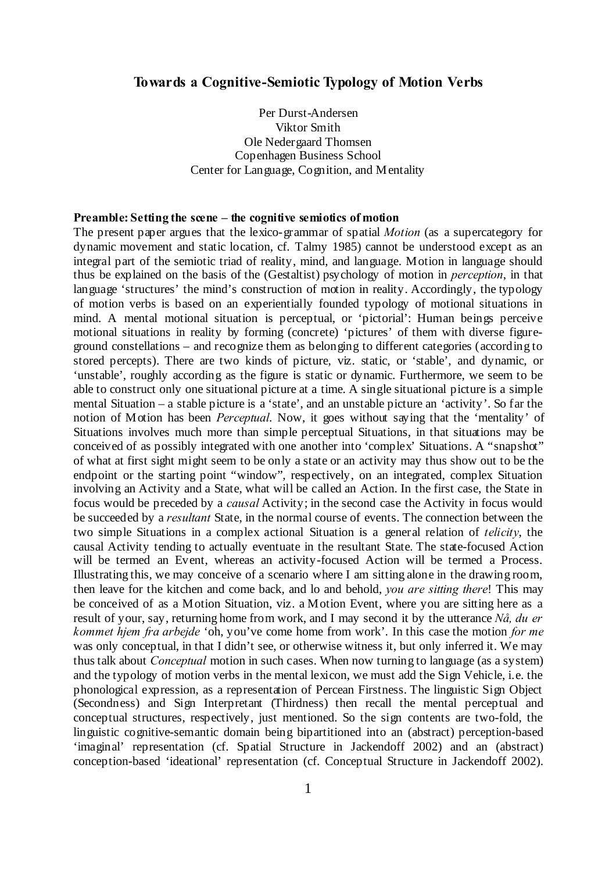#### **Towards a Cognitive-Semiotic Typology of Motion Verbs**

Per Durst-Andersen Viktor Smith Ole Nedergaard Thomsen Copenhagen Business School Center for Language, Cognition, and Mentality

#### **Preamble: Setting the scene – the cognitive semiotics of motion**

The present paper argues that the lexico-grammar of spatial *Motion* (as a supercategory for dynamic movement and static location, cf. Talmy 1985) cannot be understood except as an integral part of the semiotic triad of reality, mind, and language. Motion in language should thus be explained on the basis of the (Gestaltist) psychology of motion in *perception*, in that language 'structures' the mind's construction of motion in reality. Accordingly, the typology of motion verbs is based on an experientially founded typology of motional situations in mind. A mental motional situation is perceptual, or 'pictorial': Human beings perceive motional situations in reality by forming (concrete) 'pictures' of them with diverse figureground constellations – and recognize them as belonging to different categories (according to stored percepts). There are two kinds of picture, viz. static, or 'stable', and dynamic, or 'unstable', roughly according as the figure is static or dynamic. Furthermore, we seem to be able to construct only one situational picture at a time. A single situational picture is a simple mental Situation – a stable picture is a 'state', and an unstable picture an 'activity'. So far the notion of Motion has been *Perceptual*. Now, it goes without saying that the 'mentality' of Situations involves much more than simple perceptual Situations, in that situations may be conceived of as possibly integrated with one another into 'complex' Situations. A "snapshot" of what at first sight might seem to be only a state or an activity may thus show out to be the endpoint or the starting point "window", respectively, on an integrated, complex Situation involving an Activity and a State, what will be called an Action. In the first case, the State in focus would be preceded by a *causal* Activity; in the second case the Activity in focus would be succeeded by a *resultant* State, in the normal course of events. The connection between the two simple Situations in a complex actional Situation is a general relation of *telicity*, the causal Activity tending to actually eventuate in the resultant State. The state-focused Action will be termed an Event, whereas an activity-focused Action will be termed a Process. Illustrating this, we may conceive of a scenario where I am sitting alone in the drawing room, then leave for the kitchen and come back, and lo and behold, *you are sitting there*! This may be conceived of as a Motion Situation, viz. a Motion Event, where you are sitting here as a result of your, say, returning home from work, and I may second it by the utterance *Nå, du er kommet hjem fra arbejde* 'oh, you've come home from work'. In this case the motion *for me* was only conceptual, in that I didn't see, or otherwise witness it, but only inferred it. We may thus talk about *Conceptual* motion in such cases. When now turning to language (as a system) and the typology of motion verbs in the mental lexicon, we must add the Sign Vehicle, i.e. the phonological expression, as a representation of Percean Firstness. The linguistic Sign Object (Secondness) and Sign Interpretant (Thirdness) then recall the mental perceptual and conceptual structures, respectively, just mentioned. So the sign contents are two-fold, the linguistic cognitive-semantic domain being bipartitioned into an (abstract) perception-based 'imaginal' representation (cf. Spatial Structure in Jackendoff 2002) and an (abstract) conception-based 'ideational' representation (cf. Conceptual Structure in Jackendoff 2002).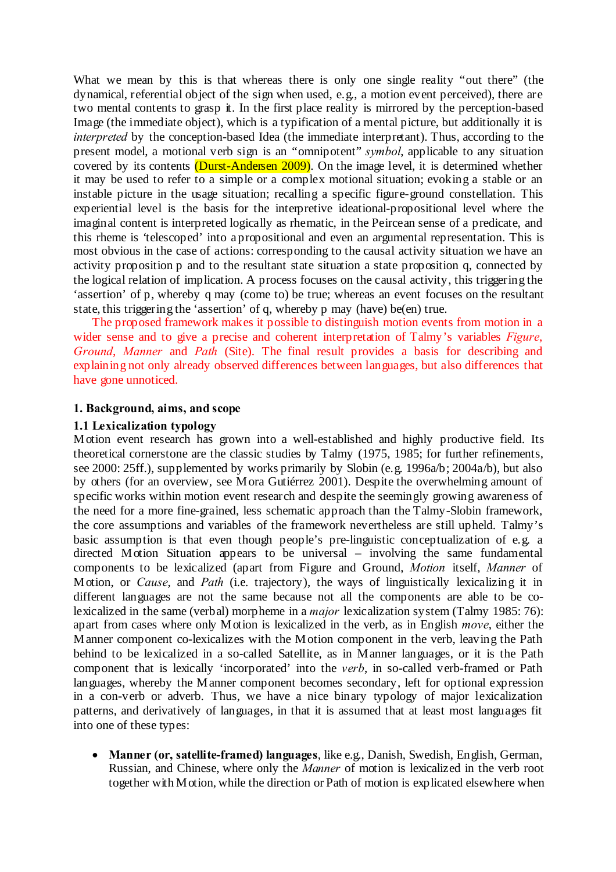What we mean by this is that whereas there is only one single reality "out there" (the dynamical, referential object of the sign when used, e.g., a motion event perceived), there are two mental contents to grasp it. In the first place reality is mirrored by the perception-based Image (the immediate object), which is a typification of a mental picture, but additionally it is *interpreted* by the conception-based Idea (the immediate interpretant). Thus, according to the present model, a motional verb sign is an "omnipotent" *symbol*, applicable to any situation covered by its contents (Durst-Andersen 2009). On the image level, it is determined whether it may be used to refer to a simple or a complex motional situation; evoking a stable or an instable picture in the usage situation; recalling a specific figure-ground constellation. This experiential level is the basis for the interpretive ideational-propositional level where the imaginal content is interpreted logically as rhematic, in the Peircean sense of a predicate, and this rheme is 'telescoped' into a propositional and even an argumental representation. This is most obvious in the case of actions: corresponding to the causal activity situation we have an activity proposition p and to the resultant state situation a state proposition q, connected by the logical relation of implication. A process focuses on the causal activity, this triggering the 'assertion' of p, whereby q may (come to) be true; whereas an event focuses on the resultant state, this triggering the 'assertion' of q, whereby p may (have) be(en) true.

The proposed framework makes it possible to distinguish motion events from motion in a wider sense and to give a precise and coherent interpretation of Talmy's variables *Figure*, *Ground*, *Manner* and *Path* (Site). The final result provides a basis for describing and explaining not only already observed differences between languages, but also differences that have gone unnoticed.

#### **1. Background, aims, and scope**

#### **1.1 Lexicalization typology**

Motion event research has grown into a well-established and highly productive field. Its theoretical cornerstone are the classic studies by Talmy (1975, 1985; for further refinements, see 2000: 25ff.), supplemented by works primarily by Slobin (e.g. 1996a/b; 2004a/b), but also by others (for an overview, see Mora Gutiérrez 2001). Despite the overwhelming amount of specific works within motion event research and despite the seemingly growing awareness of the need for a more fine-grained, less schematic approach than the Talmy-Slobin framework, the core assumptions and variables of the framework nevertheless are still upheld. Talmy's basic assumption is that even though people's pre-linguistic conceptualization of e.g. a directed Motion Situation appears to be universal – involving the same fundamental components to be lexicalized (apart from Figure and Ground, *Motion* itself, *Manner* of Motion, or *Cause*, and *Path* (i.e. trajectory), the ways of linguistically lexicalizing it in different languages are not the same because not all the components are able to be colexicalized in the same (verbal) morpheme in a *major* lexicalization system (Talmy 1985: 76): apart from cases where only Motion is lexicalized in the verb, as in English *move*, either the Manner component co-lexicalizes with the Motion component in the verb, leaving the Path behind to be lexicalized in a so-called Satellite, as in Manner languages, or it is the Path component that is lexically 'incorporated' into the *verb*, in so-called verb-framed or Path languages, whereby the Manner component becomes secondary, left for optional expression in a con-verb or adverb. Thus, we have a nice binary typology of major lexicalization patterns, and derivatively of languages, in that it is assumed that at least most languages fit into one of these types:

 **Manner (or, satellite-framed) languages**, like e.g., Danish, Swedish, English, German, Russian, and Chinese, where only the *Manner* of motion is lexicalized in the verb root together with Motion, while the direction or Path of motion is explicated elsewhere when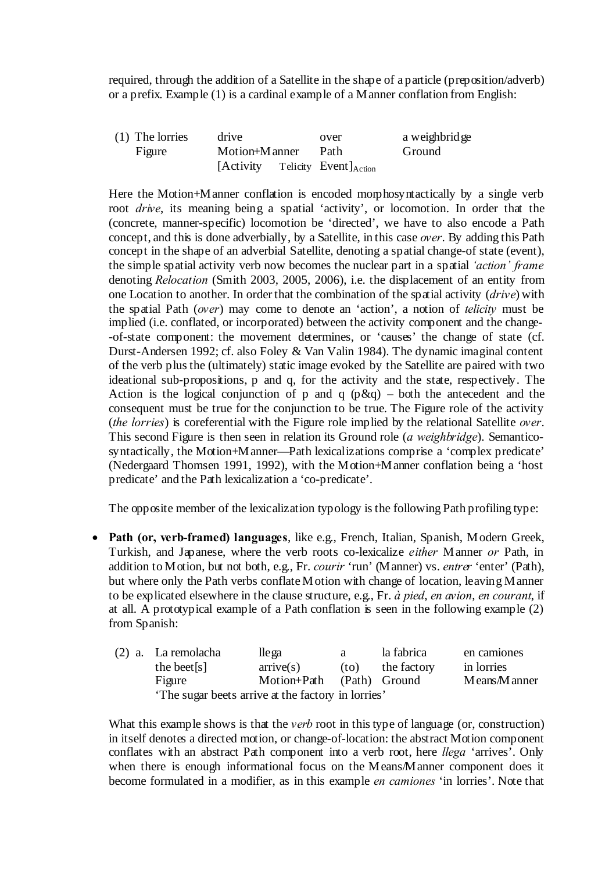required, through the addition of a Satellite in the shape of a particle (preposition/adverb) or a prefix. Example (1) is a cardinal example of a Manner conflation from English:

(1) The lorries drive over a weighbridge Figure Motion+Manner Path Ground  $[Activity$  Telicity Event $]$ <sub>Action</sub>

Here the Motion+Manner conflation is encoded morphosyntactically by a single verb root *drive*, its meaning being a spatial 'activity', or locomotion. In order that the (concrete, manner-specific) locomotion be 'directed', we have to also encode a Path concept, and this is done adverbially, by a Satellite, in this case *over*. By adding this Path concept in the shape of an adverbial Satellite, denoting a spatial change-of state (event), the simple spatial activity verb now becomes the nuclear part in a spatial *'action' frame* denoting *Relocation* (Smith 2003, 2005, 2006), i.e. the displacement of an entity from one Location to another. In order that the combination of the spatial activity (*drive*) with the spatial Path (*over*) may come to denote an 'action', a notion of *telicity* must be implied (i.e. conflated, or incorporated) between the activity component and the change- -of-state component: the movement determines, or 'causes' the change of state (cf. Durst-Andersen 1992; cf. also Foley & Van Valin 1984). The dynamic imaginal content of the verb plus the (ultimately) static image evoked by the Satellite are paired with two ideational sub-propositions, p and q, for the activity and the state, respectively. The Action is the logical conjunction of p and q  $(p \& q)$  – both the antecedent and the consequent must be true for the conjunction to be true. The Figure role of the activity (*the lorries*) is coreferential with the Figure role implied by the relational Satellite *over*. This second Figure is then seen in relation its Ground role (*a weighbridge*). Semanticosyntactically, the Motion+Manner—Path lexicalizations comprise a 'complex predicate' (Nedergaard Thomsen 1991, 1992), with the Motion+Manner conflation being a 'host predicate' and the Path lexicalization a 'co-predicate'.

The opposite member of the lexicalization typology is the following Path profiling type:

 **Path (or, verb-framed) languages**, like e.g., French, Italian, Spanish, Modern Greek, Turkish, and Japanese, where the verb roots co-lexicalize *either* Manner *or* Path, in addition to Motion, but not both, e.g., Fr. *courir* 'run' (Manner) vs. *entrer* 'enter' (Path), but where only the Path verbs conflate Motion with change of location, leaving Manner to be explicated elsewhere in the clause structure, e.g., Fr. *à pied*, *en avion*, *en courant*, if at all. A prototypical example of a Path conflation is seen in the following example (2) from Spanish:

| (2) a. La remolacha                               | lle ga                    | a    | la fabrica  | en camiones  |
|---------------------------------------------------|---------------------------|------|-------------|--------------|
| the beet [s]                                      | arrive(s)                 | (to) | the factory | in lorries   |
| Figure                                            | Motion+Path (Path) Ground |      |             | Means/Manner |
| The sugar beets arrive at the factory in lorries' |                           |      |             |              |

What this example shows is that the *verb* root in this type of language (or, construction) in itself denotes a directed motion, or change-of-location: the abstract Motion component conflates with an abstract Path component into a verb root, here *llega* 'arrives'. Only when there is enough informational focus on the Means/Manner component does it become formulated in a modifier, as in this example *en camiones* 'in lorries'. Note that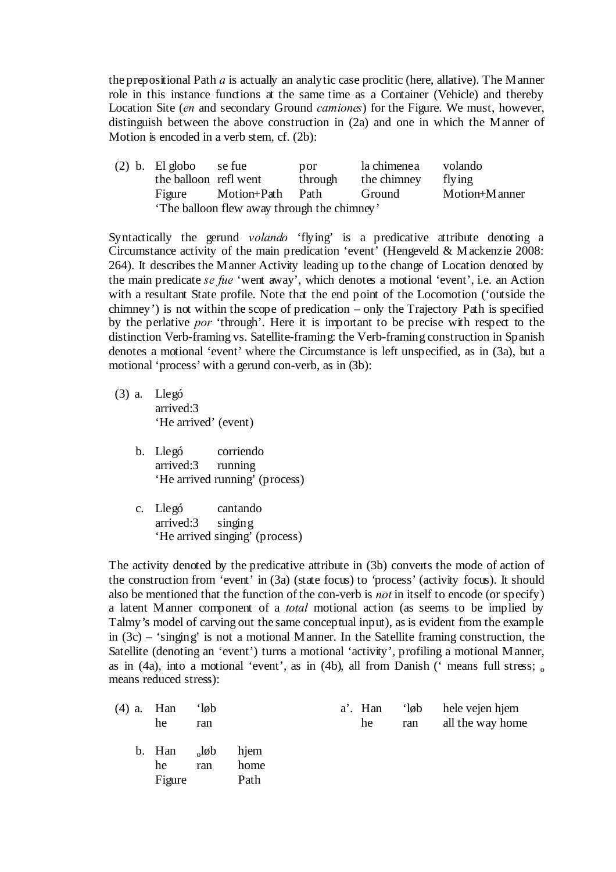the prepositional Path *a* is actually an analytic case proclitic (here, allative). The Manner role in this instance functions at the same time as a Container (Vehicle) and thereby Location Site (*en* and secondary Ground *camiones*) for the Figure. We must, however, distinguish between the above construction in (2a) and one in which the Manner of Motion is encoded in a verb stem, cf. (2b):

(2) b. El globo se fue por la chimenea volando the balloon refl went through the chimney flying Figure Motion+Path Path Ground Motion+Manner 'The balloon flew away through the chimney'

Syntactically the gerund *volando* 'flying' is a predicative attribute denoting a Circumstance activity of the main predication 'event' (Hengeveld  $&$  Mackenzie 2008: 264). It describes the Manner Activity leading up to the change of Location denoted by the main predicate *se fue* 'went away', which denotes a motional 'event', i.e. an Action with a resultant State profile. Note that the end point of the Locomotion ('outside the chimney') is not within the scope of predication – only the Trajectory Path is specified by the perlative *por* 'through'. Here it is important to be precise with respect to the distinction Verb-framing vs. Satellite-framing: the Verb-framing construction in Spanish denotes a motional 'event' where the Circumstance is left unspecified, as in (3a), but a motional 'process' with a gerund con-verb, as in (3b):

- (3) a. Llegó arrived:3 'He arrived' (event)
	- b. Llegó corriendo arrived:3 running 'He arrived running' (process)
	- c. Llegó cantando arrived:3 singing 'He arrived singing' (process)

The activity denoted by the predicative attribute in (3b) converts the mode of action of the construction from 'event' in (3a) (state focus) to 'process' (activity focus). It should also be mentioned that the function of the con-verb is *not* in itself to encode (or specify) a latent Manner component of a *total* motional action (as seems to be implied by Talmy's model of carving out the same conceptual input), as is evident from the example in (3c) – 'singing' is not a motional Manner. In the Satellite framing construction, the Satellite (denoting an 'event') turns a motional 'activity', profiling a motional Manner, as in (4a), into a motional 'event', as in (4b), all from Danish (' means full stress;  $\alpha$ means reduced stress):

| $(4)$ a. Han | he                     | $\partial$<br>ran |                      | a'. Han<br>he | $\partial$<br>ran | hele vejen hjem<br>all the way home |
|--------------|------------------------|-------------------|----------------------|---------------|-------------------|-------------------------------------|
|              | b. Han<br>he<br>Figure | $_{0}$ løb<br>ran | hjem<br>home<br>Path |               |                   |                                     |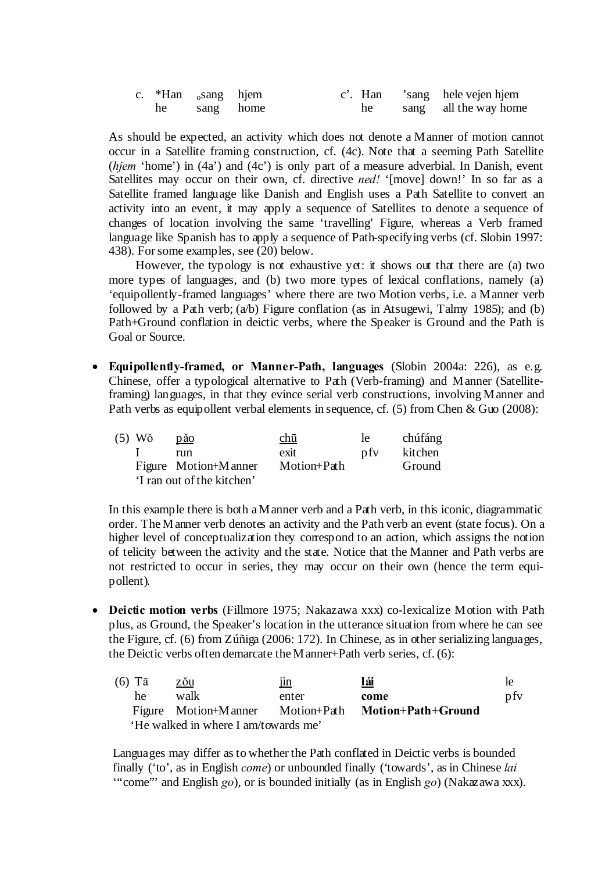|  | c. $*$ Han $_0$ sang hjem |  |    | c'. Han 'sang hele vejen hjem |
|--|---------------------------|--|----|-------------------------------|
|  | he sang home              |  | he | sang all the way home         |

As should be expected, an activity which does not denote a Manner of motion cannot occur in a Satellite framing construction, cf. (4c). Note that a seeming Path Satellite (*hjem* 'home') in (4a') and (4c') is only part of a measure adverbial. In Danish, event Satellites may occur on their own, cf. directive *ned!* '[move] down!' In so far as a Satellite framed language like Danish and English uses a Path Satellite to convert an activity into an event, it may apply a sequence of Satellites to denote a sequence of changes of location involving the same 'travelling' Figure, whereas a Verb framed language like Spanish has to apply a sequence of Path-specifying verbs (cf. Slobin 1997: 438). For some examples, see (20) below.

However, the typology is not exhaustive yet: it shows out that there are (a) two more types of languages, and (b) two more types of lexical conflations, namely (a) 'equipollently-framed languages' where there are two Motion verbs, i.e. a Manner verb followed by a Path verb;  $(a/b)$  Figure conflation (as in Atsugewi, Talmy 1985); and (b) Path+Ground conflation in deictic verbs, where the Speaker is Ground and the Path is Goal or Source.

 **Equipollently-framed, or Manner-Path, languages** (Slobin 2004a: 226), as e.g. Chinese, offer a typological alternative to Path (Verb-framing) and Manner (Satelliteframing) languages, in that they evince serial verb constructions, involving Manner and Path verbs as equipollent verbal elements in sequence, cf. (5) from Chen & Guo (2008):

| (5) Wŏ | păo                        | chū         | le. | chúfáng       |
|--------|----------------------------|-------------|-----|---------------|
|        | run                        | exit        | pfy | kitchen       |
|        | Figure Motion+M anner      | Motion+Path |     | <b>Ground</b> |
|        | 'I ran out of the kitchen' |             |     |               |

In this example there is both a Manner verb and a Path verb, in this iconic, diagrammatic order. The Manner verb denotes an activity and the Path verb an event (state focus). On a higher level of conceptualization they correspond to an action, which assigns the notion of telicity between the activity and the state. Notice that the Manner and Path verbs are not restricted to occur in series, they may occur on their own (hence the term equipollent).

 **Deictic motion verbs** (Fillmore 1975; Nakazawa xxx) co-lexicalize Motion with Path plus, as Ground, the Speaker's location in the utterance situation from where he can see the Figure, cf. (6) from Zúñiga (2006: 172). In Chinese, as in other serializing languages, the Deictic verbs often demarcate theManner+Path verb series, cf. (6):

| (6) Tā | zŏu                                  | $\mathbf{\underline{in}}$ | lái                | le  |
|--------|--------------------------------------|---------------------------|--------------------|-----|
| he     | walk                                 | enter                     | come               | pfy |
|        | Figure Motion+Manner Motion+Path     |                           | Motion+Path+Ground |     |
|        | 'He walked in where I am/towards me' |                           |                    |     |

Languages may differ as to whether the Path conflated in Deictic verbs is bounded finally ('to', as in English *come*) or unbounded finally ('towards', as in Chinese *lai* '"come"' and English *go*), or is bounded initially (as in English *go*) (Nakazawa xxx).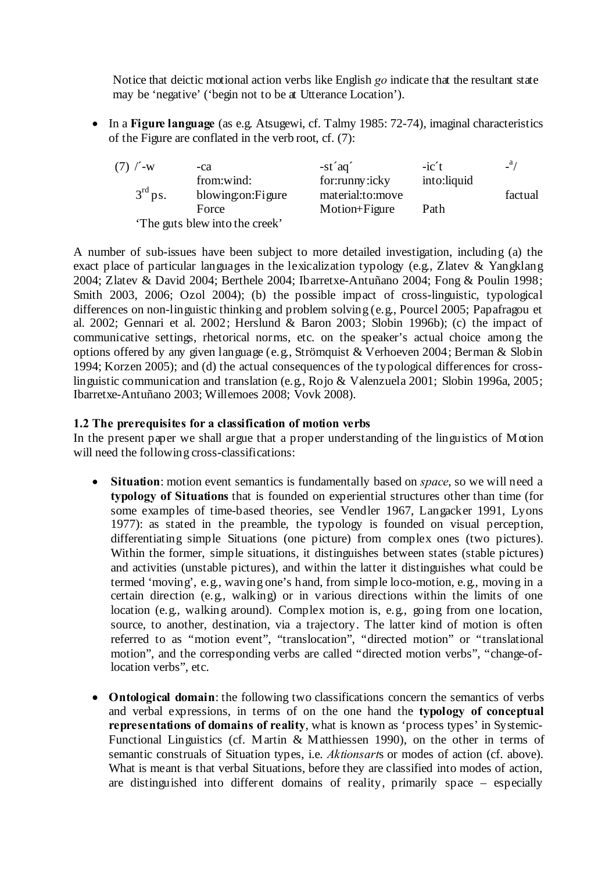Notice that deictic motional action verbs like English *go* indicate that the resultant state may be 'negative' ('begin not to be at Utterance Location').

 In a **Figure language** (as e.g. Atsugewi, cf. Talmy 1985: 72-74), imaginal characteristics of the Figure are conflated in the verb root, cf. (7):

| $(7)$ / $-w$        | -ca                           | $-st'aq'$        | $-ic't$     | a/      |
|---------------------|-------------------------------|------------------|-------------|---------|
|                     | from:wind:                    | for:runny:icky   | into:liquid |         |
| 3 <sup>rd</sup> ps. | blowing: on: Figure           | material:to:move |             | factual |
|                     | Force                         | Motion+Figure    | Path        |         |
|                     | The guts blew into the creek' |                  |             |         |

A number of sub-issues have been subject to more detailed investigation, including (a) the exact place of particular languages in the lexicalization typology (e.g., Zlatev & Yangklang 2004; Zlatev & David 2004; Berthele 2004; Ibarretxe-Antuñano 2004; Fong & Poulin 1998; Smith 2003, 2006; Ozol 2004); (b) the possible impact of cross-linguistic, typological differences on non-linguistic thinking and problem solving (e.g., Pourcel 2005; Papafragou et al. 2002; Gennari et al. 2002; Herslund & Baron 2003; Slobin 1996b); (c) the impact of communicative settings, rhetorical norms, etc. on the speaker's actual choice among the options offered by any given language (e.g., Strömquist & Verhoeven 2004; Berman & Slobin 1994; Korzen 2005); and (d) the actual consequences of the typological differences for crosslinguistic communication and translation (e.g., Rojo & Valenzuela 2001; Slobin 1996a, 2005; Ibarretxe-Antuñano 2003; Willemoes 2008; Vovk 2008).

# **1.2 The prerequisites for a classification of motion verbs**

In the present paper we shall argue that a proper understanding of the linguistics of Motion will need the following cross-classifications:

- **Situation**: motion event semantics is fundamentally based on *space*, so we will need a **typology of Situations** that is founded on experiential structures other than time (for some examples of time-based theories, see Vendler 1967, Langacker 1991, Lyons 1977): as stated in the preamble, the typology is founded on visual perception, differentiating simple Situations (one picture) from complex ones (two pictures). Within the former, simple situations, it distinguishes between states (stable pictures) and activities (unstable pictures), and within the latter it distinguishes what could be termed 'moving', e.g., waving one's hand, from simple loco-motion, e.g., moving in a certain direction (e.g., walking) or in various directions within the limits of one location (e.g., walking around). Complex motion is, e.g., going from one location, source, to another, destination, via a trajectory. The latter kind of motion is often referred to as "motion event", "translocation", "directed motion" or "translational motion", and the corresponding verbs are called "directed motion verbs", "change-oflocation verbs", etc.
- **Ontological domain**: the following two classifications concern the semantics of verbs and verbal expressions, in terms of on the one hand the **typology of conceptual representations of domains of reality**, what is known as 'process types' in Systemic-Functional Linguistics (cf. Martin & Matthiessen 1990), on the other in terms of semantic construals of Situation types, i.e. *Aktionsart*s or modes of action (cf. above). What is meant is that verbal Situations, before they are classified into modes of action, are distinguished into different domains of reality, primarily space – especially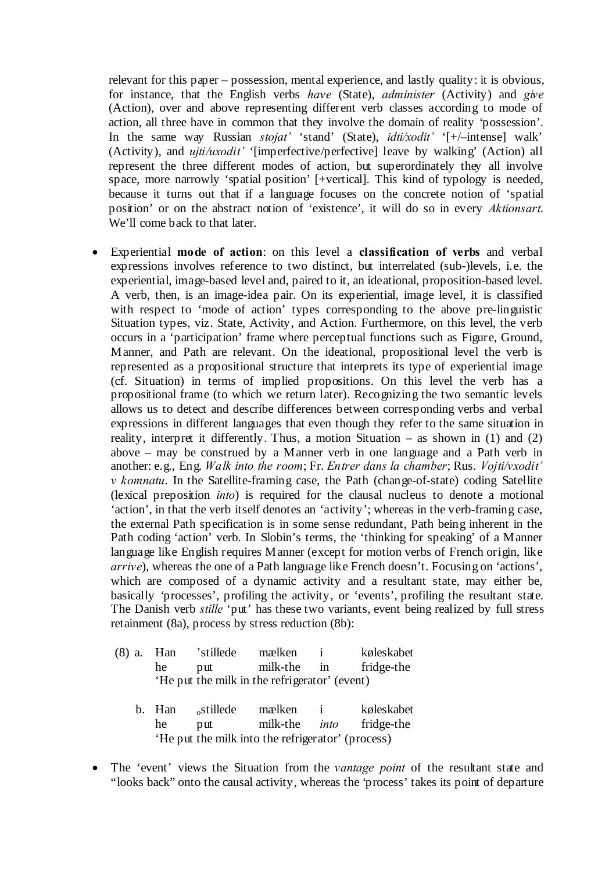relevant for this paper – possession, mental experience, and lastly quality: it is obvious, for instance, that the English verbs *have* (State), *administer* (Activity) and *give* (Action), over and above representing different verb classes according to mode of action, all three have in common that they involve the domain of reality 'possession'. In the same way Russian *stojat'* 'stand' (State), *idti/xodit'* '[+/–intense] walk' (Activity), and *ujti/uxodit'* '[imperfective/perfective] leave by walking' (Action) all represent the three different modes of action, but superordinately they all involve space, more narrowly 'spatial position' [+vertical]. This kind of typology is needed, because it turns out that if a language focuses on the concrete notion of 'spatial position' or on the abstract notion of 'existence', it will do so in every *Aktionsart*. We'll come back to that later.

 Experiential **mode of action**: on this level a **classification of verbs** and verbal expressions involves reference to two distinct, but interrelated (sub-)levels, i.e. the experiential, image-based level and, paired to it, an ideational, proposition-based level. A verb, then, is an image-idea pair. On its experiential, image level, it is classified with respect to 'mode of action' types corresponding to the above pre-linguistic Situation types, viz. State, Activity, and Action. Furthermore, on this level, the verb occurs in a 'participation' frame where perceptual functions such as Figure, Ground, Manner, and Path are relevant. On the ideational, propositional level the verb is represented as a propositional structure that interprets its type of experiential image (cf. Situation) in terms of implied propositions. On this level the verb has a propositional frame (to which we return later). Recognizing the two semantic levels allows us to detect and describe differences between corresponding verbs and verbal expressions in different languages that even though they refer to the same situation in reality, interpret it differently. Thus, a motion Situation – as shown in  $(1)$  and  $(2)$ above – may be construed by a Manner verb in one language and a Path verb in another: e.g., Eng. *Walk into the room*; Fr. *Entrer dans la chamber*; Rus. *Vojti/vxodit' v komnatu*. In the Satellite-framing case, the Path (change-of-state) coding Satellite (lexical preposition *into*) is required for the clausal nucleus to denote a motional 'action', in that the verb itself denotes an 'activity'; whereas in the verb-framing case, the external Path specification is in some sense redundant, Path being inherent in the Path coding 'action' verb. In Slobin's terms, the 'thinking for speaking' of a Manner language like English requires Manner (except for motion verbs of French origin, like *arrive*), whereas the one of a Path language like French doesn't. Focusing on 'actions', which are composed of a dynamic activity and a resultant state, may either be, basically 'processes', profiling the activity, or 'events', profiling the resultant state. The Danish verb *stille* 'put' has these two variants, event being realized by full stress retainment (8a), process by stress reduction (8b):

| $(8)$ a. | Han    | 'stillede                                     | mælken   | $\mathbf{i}$ | køleskabet |
|----------|--------|-----------------------------------------------|----------|--------------|------------|
|          | he     | put                                           | milk-the | in           | fridge-the |
|          |        | 'He put the milk in the refrigerator' (event) |          |              |            |
|          |        |                                               |          |              |            |
|          | b. Han | ostillede                                     | mælken   | $\mathbf{i}$ |            |
|          |        |                                               |          |              | køleskabet |
|          | he     | put                                           | milk-the | into         | fridge-the |

 The 'event' views the Situation from the *vantage point* of the resultant state and "looks back" onto the causal activity, whereas the 'process' takes its point of departure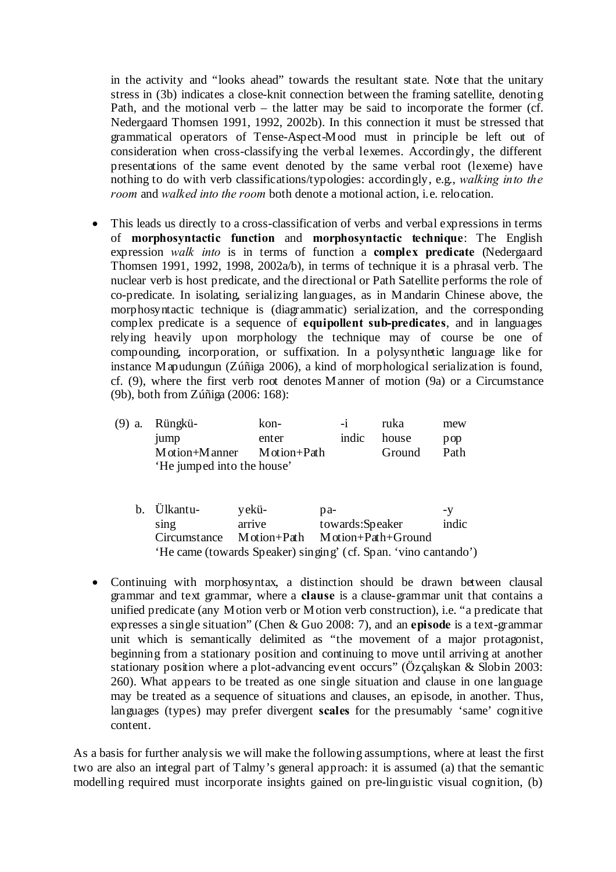in the activity and "looks ahead" towards the resultant state. Note that the unitary stress in (3b) indicates a close-knit connection between the framing satellite, denoting Path, and the motional verb – the latter may be said to incorporate the former (cf. Nedergaard Thomsen 1991, 1992, 2002b). In this connection it must be stressed that grammatical operators of Tense-Aspect-Mood must in principle be left out of consideration when cross-classifying the verbal lexemes. Accordingly, the different presentations of the same event denoted by the same verbal root (lexeme) have nothing to do with verb classifications/typologies: accordingly, e.g., *walking into the room* and *walked into the room* both denote a motional action, i.e. relocation.

 This leads us directly to a cross-classification of verbs and verbal expressions in terms of **morphosyntactic function** and **morphosyntactic technique**: The English expression *walk into* is in terms of function a **complex predicate** (Nedergaard Thomsen 1991, 1992, 1998, 2002a/b), in terms of technique it is a phrasal verb. The nuclear verb is host predicate, and the directional or Path Satellite performs the role of co-predicate. In isolating, serializing languages, as in Mandarin Chinese above, the morphosyntactic technique is (diagrammatic) serialization, and the corresponding complex predicate is a sequence of **equipollent sub-predicates**, and in languages relying heavily upon morphology the technique may of course be one of compounding, incorporation, or suffixation. In a polysynthetic language like for instance Mapudungun (Zúñiga 2006), a kind of morphological serialization is found, cf. (9), where the first verb root denotes Manner of motion (9a) or a Circumstance (9b), both from Zúñiga (2006: 168):

| (9) a. Rüngkü-                                                                | kon-  | $-1$  | ruka   | mew             |
|-------------------------------------------------------------------------------|-------|-------|--------|-----------------|
| 1ump                                                                          | enter | indic | house  | $\mathbf{p}$ op |
| $M \dot{\text{otion}} + M \text{anner}$ $M \dot{\text{otion}} + P \text{ath}$ |       |       | Ground | Path            |
| 'He jumped into the house'                                                    |       |       |        |                 |

| b. Ülkantu-              | yekü-  | pa-                                                             | -V    |
|--------------------------|--------|-----------------------------------------------------------------|-------|
| $\sin \theta$            | arrive | towards:Speaker                                                 | indic |
| Circumstance Motion+Path |        | Motion+Path+Ground                                              |       |
|                          |        | 'He came (towards Speaker) singing' (cf. Span. 'vino cantando') |       |

• Continuing with morphosyntax, a distinction should be drawn between clausal grammar and text grammar, where a **clause** is a clause-grammar unit that contains a unified predicate (any Motion verb or Motion verb construction), i.e. "a predicate that expresses a single situation" (Chen & Guo 2008: 7), and an **episode** is a text-grammar unit which is semantically delimited as "the movement of a major protagonist, beginning from a stationary position and continuing to move until arriving at another stationary position where a plot-advancing event occurs" (Özçalışkan & Slobin 2003: 260). What appears to be treated as one single situation and clause in one language may be treated as a sequence of situations and clauses, an episode, in another. Thus, languages (types) may prefer divergent **scales** for the presumably 'same' cognitive content.

As a basis for further analysis we will make the following assumptions, where at least the first two are also an integral part of Talmy's general approach: it is assumed (a) that the semantic modelling required must incorporate insights gained on pre-linguistic visual cognition, (b)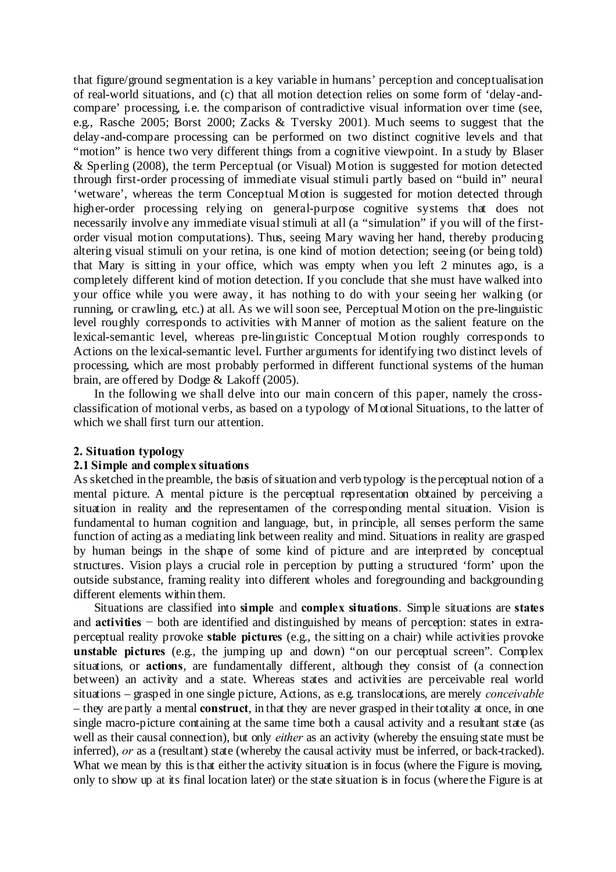that figure/ground segmentation is a key variable in humans' perception and conceptualisation of real-world situations, and (c) that all motion detection relies on some form of 'delay-andcompare' processing, i.e. the comparison of contradictive visual information over time (see, e.g., Rasche 2005; Borst 2000; Zacks & Tversky 2001). Much seems to suggest that the delay-and-compare processing can be performed on two distinct cognitive levels and that "motion" is hence two very different things from a cognitive viewpoint. In a study by Blaser & Sperling (2008), the term Perceptual (or Visual) Motion is suggested for motion detected through first-order processing of immediate visual stimuli partly based on "build in" neural 'wetware', whereas the term Conceptual Motion is suggested for motion detected through higher-order processing relying on general-purpose cognitive systems that does not necessarily involve any immediate visual stimuli at all (a "simulation" if you will of the firstorder visual motion computations). Thus, seeing Mary waving her hand, thereby producing altering visual stimuli on your retina, is one kind of motion detection; seeing (or being told) that Mary is sitting in your office, which was empty when you left 2 minutes ago, is a completely different kind of motion detection. If you conclude that she must have walked into your office while you were away, it has nothing to do with your seeing her walking (or running, or crawling, etc.) at all. As we will soon see, Perceptual Motion on the pre-linguistic level roughly corresponds to activities with Manner of motion as the salient feature on the lexical-semantic level, whereas pre-linguistic Conceptual Motion roughly corresponds to Actions on the lexical-semantic level. Further arguments for identifying two distinct levels of processing, which are most probably performed in different functional systems of the human brain, are offered by Dodge & Lakoff (2005).

In the following we shall delve into our main concern of this paper, namely the crossclassification of motional verbs, as based on a typology of Motional Situations, to the latter of which we shall first turn our attention.

#### **2. Situation typology**

#### **2.1 Simple and complex situations**

As sketched in the preamble, the basis of situation and verb typology is the perceptual notion of a mental picture. A mental picture is the perceptual representation obtained by perceiving a situation in reality and the representamen of the corresponding mental situation. Vision is fundamental to human cognition and language, but, in principle, all senses perform the same function of acting as a mediating link between reality and mind. Situations in reality are grasped by human beings in the shape of some kind of picture and are interpreted by conceptual structures. Vision plays a crucial role in perception by putting a structured 'form' upon the outside substance, framing reality into different wholes and foregrounding and backgrounding different elements within them.

Situations are classified into **simple** and **complex situations**. Simple situations are **states** and **activities** − both are identified and distinguished by means of perception: states in extraperceptual reality provoke **stable pictures** (e.g., the sitting on a chair) while activities provoke **unstable pictures** (e.g., the jumping up and down) "on our perceptual screen". Complex situations, or **actions**, are fundamentally different, although they consist of (a connection between) an activity and a state. Whereas states and activities are perceivable real world situations – grasped in one single picture, Actions, as e.g. translocations, are merely *conceivable* – they are partly a mental **construct**, in that they are never grasped in their totality at once, in one single macro-picture containing at the same time both a causal activity and a resultant state (as well as their causal connection), but only *either* as an activity (whereby the ensuing state must be inferred), *or* as a (resultant) state (whereby the causal activity must be inferred, or back-tracked). What we mean by this is that either the activity situation is in focus (where the Figure is moving, only to show up at its final location later) or the state situation is in focus (where the Figure is at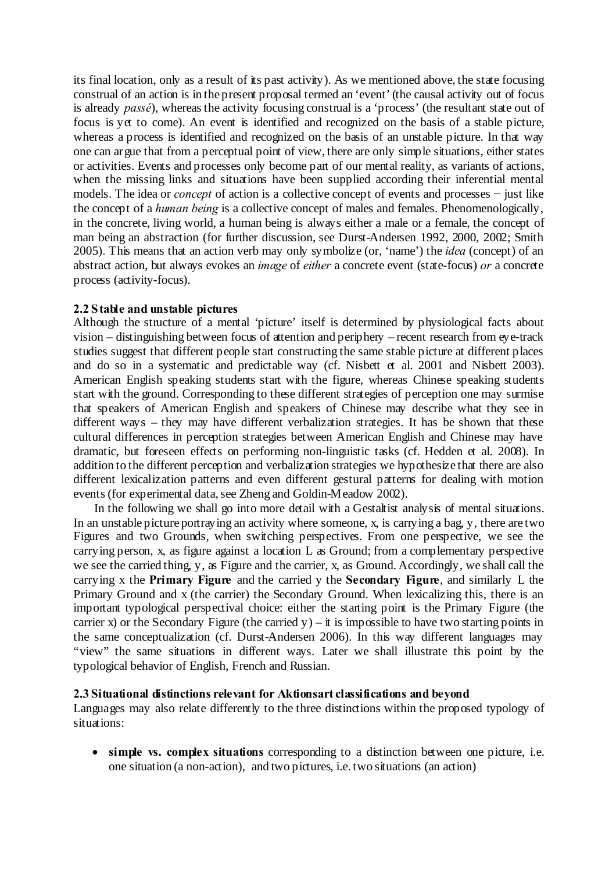its final location, only as a result of its past activity). As we mentioned above, the state focusing construal of an action is in the present proposal termed an 'event' (the causal activity out of focus is already *passé*), whereas the activity focusing construal is a 'process' (the resultant state out of focus is yet to come). An event is identified and recognized on the basis of a stable picture, whereas a process is identified and recognized on the basis of an unstable picture. In that way one can argue that from a perceptual point of view, there are only simple situations, either states or activities. Events and processes only become part of our mental reality, as variants of actions, when the missing links and situations have been supplied according their inferential mental models. The idea or *concept* of action is a collective concept of events and processes − just like the concept of a *human being* is a collective concept of males and females. Phenomenologically, in the concrete, living world, a human being is always either a male or a female, the concept of man being an abstraction (for further discussion, see Durst-Andersen 1992, 2000, 2002; Smith 2005). This means that an action verb may only symbolize (or, 'name') the *idea* (concept) of an abstract action, but always evokes an *image* of *either* a concrete event (state-focus) *or* a concrete process (activity-focus).

# **2.2 Stable and unstable pictures**

Although the structure of a mental 'picture' itself is determined by physiological facts about vision – distinguishing between focus of attention and periphery – recent research from eye-track studies suggest that different people start constructing the same stable picture at different places and do so in a systematic and predictable way (cf. Nisbett et al. 2001 and Nisbett 2003). American English speaking students start with the figure, whereas Chinese speaking students start with the ground. Corresponding to these different strategies of perception one may surmise that speakers of American English and speakers of Chinese may describe what they see in different ways – they may have different verbalization strategies. It has be shown that these cultural differences in perception strategies between American English and Chinese may have dramatic, but foreseen effects on performing non-linguistic tasks (cf. Hedden et al. 2008). In addition to the different perception and verbalization strategies we hypothesize that there are also different lexicalization patterns and even different gestural patterns for dealing with motion events (for experimental data, see Zheng and Goldin-Meadow 2002).

In the following we shall go into more detail with a Gestaltist analysis of mental situations. In an unstable picture portraying an activity where someone, x, is carrying a bag, y, there are two Figures and two Grounds, when switching perspectives. From one perspective, we see the carrying person, x, as figure against a location L as Ground; from a complementary perspective we see the carried thing, y, as Figure and the carrier, x, as Ground. Accordingly, we shall call the carrying x the **Primary Figure** and the carried y the **Secondary Figure**, and similarly L the Primary Ground and x (the carrier) the Secondary Ground. When lexicalizing this, there is an important typological perspectival choice: either the starting point is the Primary Figure (the carrier x) or the Secondary Figure (the carried  $y$ ) – it is impossible to have two starting points in the same conceptualization (cf. Durst-Andersen 2006). In this way different languages may "view" the same situations in different ways. Later we shall illustrate this point by the typological behavior of English, French and Russian.

# **2.3 Situational distinctions relevant for Aktionsart classifications and beyond**

Languages may also relate differently to the three distinctions within the proposed typology of situations:

 **simple vs. complex situations** corresponding to a distinction between one picture, i.e. one situation (a non-action), and two pictures, i.e. two situations (an action)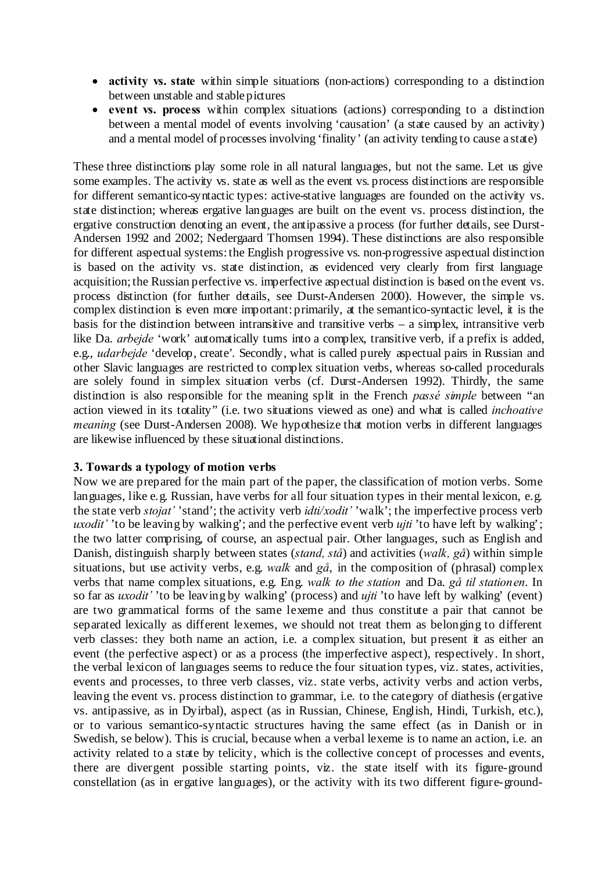- **activity vs. state** within simple situations (non-actions) corresponding to a distinction between unstable and stable pictures
- **event vs. process** within complex situations (actions) corresponding to a distinction between a mental model of events involving 'causation' (a state caused by an activity) and a mental model of processes involving 'finality' (an activity tending to cause a state)

These three distinctions play some role in all natural languages, but not the same. Let us give some examples. The activity vs. state as well as the event vs. process distinctions are responsible for different semantico-syntactic types: active-stative languages are founded on the activity vs. state distinction; whereas ergative languages are built on the event vs. process distinction, the ergative construction denoting an event, the antipassive a process (for further details, see Durst-Andersen 1992 and 2002; Nedergaard Thomsen 1994). These distinctions are also responsible for different aspectual systems:the English progressive vs. non-progressive aspectual distinction is based on the activity vs. state distinction, as evidenced very clearly from first language acquisition; the Russian perfective vs. imperfective aspectual distinction is based on the event vs. process distinction (for further details, see Durst-Andersen 2000). However, the simple vs. complex distinction is even more important: primarily, at the semantico-syntactic level, it is the basis for the distinction between intransitive and transitive verbs  $-$  a simplex, intransitive verb like Da. *arbejde* 'work' automatically turns into a complex, transitive verb, if a prefix is added, e.g., *udarbejde* 'develop, create'. Secondly, what is called purely aspectual pairs in Russian and other Slavic languages are restricted to complex situation verbs, whereas so-called procedurals are solely found in simplex situation verbs (cf. Durst-Andersen 1992). Thirdly, the same distinction is also responsible for the meaning split in the French *passé simple* between "an action viewed in its totality" (i.e. two situations viewed as one) and what is called *inchoative meaning* (see Durst-Andersen 2008). We hypothesize that motion verbs in different languages are likewise influenced by these situational distinctions.

# **3. Towards a typology of motion verbs**

Now we are prepared for the main part of the paper, the classification of motion verbs. Some languages, like e.g. Russian, have verbs for all four situation types in their mental lexicon, e.g. the state verb *stojat'* 'stand'; the activity verb *idti/xodit'* 'walk'; the imperfective process verb *uxodit'* 'to be leaving by walking'; and the perfective event verb *ujti* 'to have left by walking'; the two latter comprising, of course, an aspectual pair. Other languages, such as English and Danish, distinguish sharply between states (*stand, stå*) and activities (*walk, gå*) within simple situations, but use activity verbs, e.g. *walk* and *gå*, in the composition of (phrasal) complex verbs that name complex situations, e.g. Eng. *walk to the station* and Da. *gå til stationen*. In so far as *uxodit'* 'to be leaving by walking' (process) and *ujti* 'to have left by walking' (event) are two grammatical forms of the same lexeme and thus constitute a pair that cannot be separated lexically as different lexemes, we should not treat them as belonging to different verb classes: they both name an action, i.e. a complex situation, but present it as either an event (the perfective aspect) or as a process (the imperfective aspect), respectively. In short, the verbal lexicon of languages seems to reduce the four situation types, viz. states, activities, events and processes, to three verb classes, viz. state verbs, activity verbs and action verbs, leaving the event vs. process distinction to grammar, i.e. to the category of diathesis (ergative vs. antipassive, as in Dyirbal), aspect (as in Russian, Chinese, English, Hindi, Turkish, etc.), or to various semantico-syntactic structures having the same effect (as in Danish or in Swedish, se below). This is crucial, because when a verbal lexeme is to name an action, i.e. an activity related to a state by telicity, which is the collective concept of processes and events, there are divergent possible starting points, viz. the state itself with its figure-ground constellation (as in ergative languages), or the activity with its two different figure-ground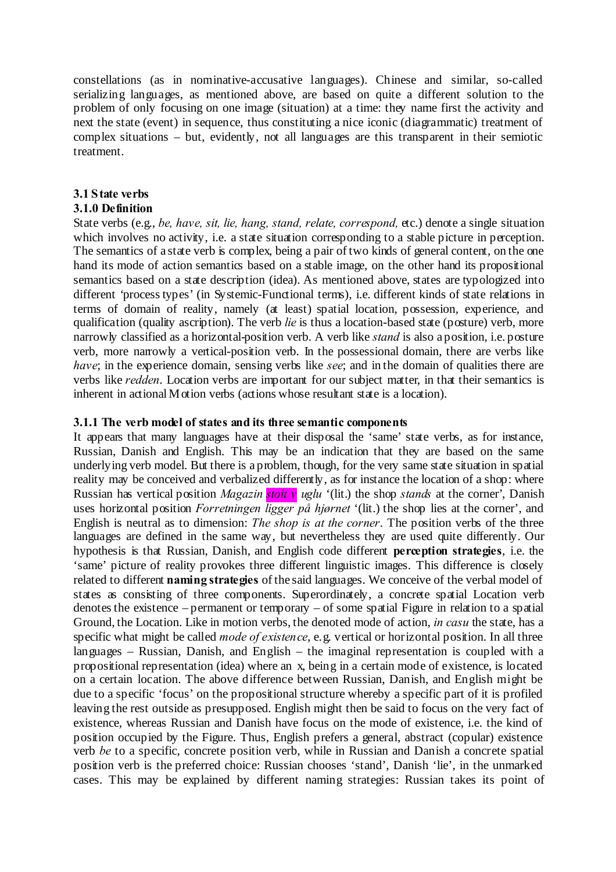constellations (as in nominative-accusative languages). Chinese and similar, so-called serializing languages, as mentioned above, are based on quite a different solution to the problem of only focusing on one image (situation) at a time: they name first the activity and next the state (event) in sequence, thus constituting a nice iconic (diagrammatic) treatment of  $complex situations - but, evidently, not all language are this transport in their semiotic$ treatment.

# **3.1 State verbs**

# **3.1.0 Definition**

State verbs (e.g., *be, have, sit, lie, hang, stand, relate, correspond,* etc.) denote a single situation which involves no activity, i.e. a state situation corresponding to a stable picture in perception. The semantics of a state verb is complex, being a pair of two kinds of general content, on the one hand its mode of action semantics based on a stable image, on the other hand its propositional semantics based on a state description (idea). As mentioned above, states are typologized into different 'process types' (in Systemic-Functional terms), i.e. different kinds of state relations in terms of domain of reality, namely (at least) spatial location, possession, experience, and qualification (quality ascription). The verb *lie* is thus a location-based state (posture) verb, more narrowly classified as a horizontal-position verb. A verb like *stand* is also a position, i.e. posture verb, more narrowly a vertical-position verb. In the possessional domain, there are verbs like *have*; in the experience domain, sensing verbs like *see*; and in the domain of qualities there are verbs like *redden*. Location verbs are important for our subject matter, in that their semantics is inherent in actionalMotion verbs (actions whose resultant state is a location).

# **3.1.1 The verb model of states and its three semantic components**

It appears that many languages have at their disposal the 'same' state verbs, as for instance, Russian, Danish and English. This may be an indication that they are based on the same underlying verb model. But there is a problem, though, for the very same state situation in spatial reality may be conceived and verbalized differently, as for instance the location of a shop: where Russian has vertical position *Magazin stoit v uglu* '(lit.) the shop *stands* at the corner', Danish uses horizontal position *Forretningen ligger på hjørnet* '(lit.) the shop lies at the corner', and English is neutral as to dimension: *The shop is at the corner*. The position verbs of the three languages are defined in the same way, but nevertheless they are used quite differently. Our hypothesis is that Russian, Danish, and English code different **perception strategies**, i.e. the 'same' picture of reality provokes three different linguistic images. This difference is closely related to different **naming strategies** of the said languages. We conceive of the verbal model of states as consisting of three components. Superordinately, a concrete spatial Location verb denotes the existence – permanent or temporary – of some spatial Figure in relation to a spatial Ground, the Location. Like in motion verbs, the denoted mode of action, *in casu* the state, has a specific what might be called *mode of existence*, e.g. vertical or horizontal position. In all three languages – Russian, Danish, and English – the imaginal representation is coupled with a propositional representation (idea) where an x, being in a certain mode of existence, is located on a certain location. The above difference between Russian, Danish, and English might be due to a specific 'focus' on the propositional structure whereby a specific part of it is profiled leaving the rest outside as presupposed. English might then be said to focus on the very fact of existence, whereas Russian and Danish have focus on the mode of existence, i.e. the kind of position occupied by the Figure. Thus, English prefers a general, abstract (copular) existence verb *be* to a specific, concrete position verb, while in Russian and Danish a concrete spatial position verb is the preferred choice: Russian chooses 'stand', Danish 'lie', in the unmarked cases. This may be explained by different naming strategies: Russian takes its point of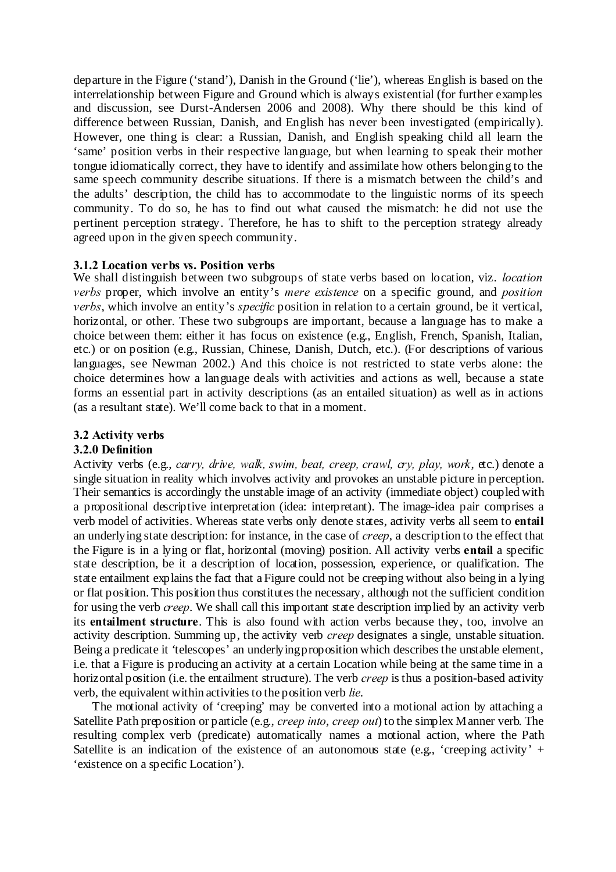departure in the Figure ('stand'), Danish in the Ground ('lie'), whereas English is based on the interrelationship between Figure and Ground which is always existential (for further examples and discussion, see Durst-Andersen 2006 and 2008). Why there should be this kind of difference between Russian, Danish, and English has never been investigated (empirically). However, one thing is clear: a Russian, Danish, and English speaking child all learn the 'same' position verbs in their respective language, but when learning to speak their mother tongue idiomatically correct, they have to identify and assimilate how others belonging to the same speech community describe situations. If there is a mismatch between the child's and the adults' description, the child has to accommodate to the linguistic norms of its speech community. To do so, he has to find out what caused the mismatch: he did not use the pertinent perception strategy. Therefore, he has to shift to the perception strategy already agreed upon in the given speech community.

# **3.1.2 Location verbs vs. Position verbs**

We shall distinguish between two subgroups of state verbs based on location, viz. *location verbs* proper, which involve an entity's *mere existence* on a specific ground, and *position verbs*, which involve an entity's *specific* position in relation to a certain ground, be it vertical, horizontal, or other. These two subgroups are important, because a language has to make a choice between them: either it has focus on existence (e.g., English, French, Spanish, Italian, etc.) or on position (e.g., Russian, Chinese, Danish, Dutch, etc.). (For descriptions of various languages, see Newman 2002.) And this choice is not restricted to state verbs alone: the choice determines how a language deals with activities and actions as well, because a state forms an essential part in activity descriptions (as an entailed situation) as well as in actions (as a resultant state). We'll come back to that in a moment.

### **3.2 Activity verbs**

#### **3.2.0 Definition**

Activity verbs (e.g., *carry, drive, walk, swim, beat, creep, crawl, cry, play, work*, etc.) denote a single situation in reality which involves activity and provokes an unstable picture in perception. Their semantics is accordingly the unstable image of an activity (immediate object) coupled with a propositional descriptive interpretation (idea: interpretant). The image-idea pair comprises a verb model of activities. Whereas state verbs only denote states, activity verbs all seem to **entail** an underlying state description: for instance, in the case of *creep*, a description to the effect that the Figure is in a lying or flat, horizontal (moving) position. All activity verbs **entail** a specific state description, be it a description of location, possession, experience, or qualification. The state entailment explains the fact that a Figure could not be creeping without also being in a lying or flat position. This position thus constitutes the necessary, although not the sufficient condition for using the verb *creep*. We shall call this important state description implied by an activity verb its **entailment structure**. This is also found with action verbs because they, too, involve an activity description. Summing up, the activity verb *creep* designates a single, unstable situation. Being a predicate it 'telescopes' an underlyingproposition which describes the unstable element, i.e. that a Figure is producing an activity at a certain Location while being at the same time in a horizontal position (i.e. the entailment structure). The verb *creep* is thus a position-based activity verb, the equivalent within activitiesto the position verb *lie*.

The motional activity of 'creeping' may be converted into a motional action by attaching a Satellite Path preposition or particle (e.g., *creep into*, *creep out*) to the simplex Manner verb. The resulting complex verb (predicate) automatically names a motional action, where the Path Satellite is an indication of the existence of an autonomous state (e.g., 'creeping activity' + 'existence on a specific Location').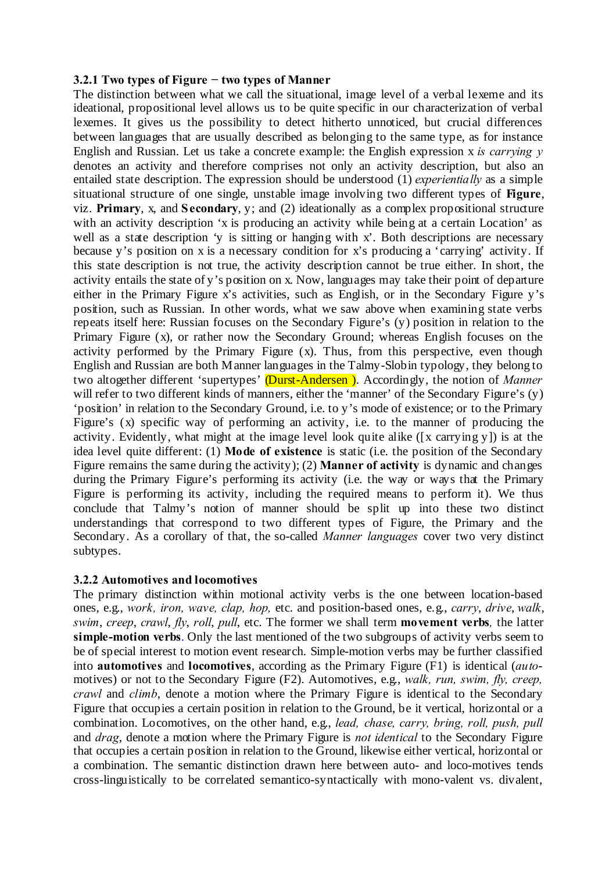### **3.2.1 Two types of Figure − two types of Manner**

The distinction between what we call the situational, image level of a verbal lexeme and its ideational, propositional level allows us to be quite specific in our characterization of verbal lexemes. It gives us the possibility to detect hitherto unnoticed, but crucial differences between languages that are usually described as belonging to the same type, as for instance English and Russian. Let us take a concrete example: the English expression x *is carrying y* denotes an activity and therefore comprises not only an activity description, but also an entailed state description. The expression should be understood (1) *experientially* as a simple situational structure of one single, unstable image involving two different types of **Figure**, viz. **Primary**, x, and **Secondary**, y; and (2) ideationally as a complex propositional structure with an activity description 'x is producing an activity while being at a certain Location' as well as a state description 'v is sitting or hanging with x'. Both descriptions are necessary because y's position on x is a necessary condition for x's producing a 'carrying' activity. If this state description is not true, the activity description cannot be true either. In short, the activity entails the state of y's position on x. Now, languages may take their point of departure either in the Primary Figure x's activities, such as English, or in the Secondary Figure y's position, such as Russian. In other words, what we saw above when examining state verbs repeats itself here: Russian focuses on the Secondary Figure's (y) position in relation to the Primary Figure (x), or rather now the Secondary Ground; whereas English focuses on the activity performed by the Primary Figure (x). Thus, from this perspective, even though English and Russian are both Manner languages in the Talmy-Slobin typology, they belong to two altogether different 'supertypes' (Durst-Andersen ). Accordingly, the notion of *Manner* will refer to two different kinds of manners, either the 'manner' of the Secondary Figure's (y) 'position' in relation to the Secondary Ground, i.e. to y's mode of existence; or to the Primary Figure's (x) specific way of performing an activity, i.e. to the manner of producing the activity. Evidently, what might at the image level look quite alike ([x carrying y]) is at the idea level quite different: (1) **Mode of existence** is static (i.e. the position of the Secondary Figure remains the same during the activity); (2) **Manner of activity** is dynamic and changes during the Primary Figure's performing its activity (i.e. the way or ways that the Primary Figure is performing its activity, including the required means to perform it). We thus conclude that Talmy's notion of manner should be split up into these two distinct understandings that correspond to two different types of Figure, the Primary and the Secondary. As a corollary of that, the so-called *Manner languages* cover two very distinct subtypes.

# **3.2.2 Automotives and locomotives**

The primary distinction within motional activity verbs is the one between location-based ones, e.g., *work, iron, wave, clap, hop,* etc. and position-based ones, e.g., *carry*, *drive*, *walk*, *swim*, *creep*, *crawl*, *fly*, *roll*, *pull*, etc. The former we shall term **movement verbs***,* the latter **simple-motion verbs**. Only the last mentioned of the two subgroups of activity verbs seem to be of special interest to motion event research. Simple-motion verbs may be further classified into **automotives** and **locomotives**, according as the Primary Figure (F1) is identical (*auto*motives) or not to the Secondary Figure (F2). Automotives, e.g., *walk, run, swim, fly, creep, crawl* and *climb*, denote a motion where the Primary Figure is identical to the Secondary Figure that occupies a certain position in relation to the Ground, be it vertical, horizontal or a combination. Locomotives, on the other hand, e.g., *lead, chase, carry, bring, roll, push, pull* and *drag*, denote a motion where the Primary Figure is *not identical* to the Secondary Figure that occupies a certain position in relation to the Ground, likewise either vertical, horizontal or a combination. The semantic distinction drawn here between auto- and loco-motives tends cross-linguistically to be correlated semantico-syntactically with mono-valent vs. divalent,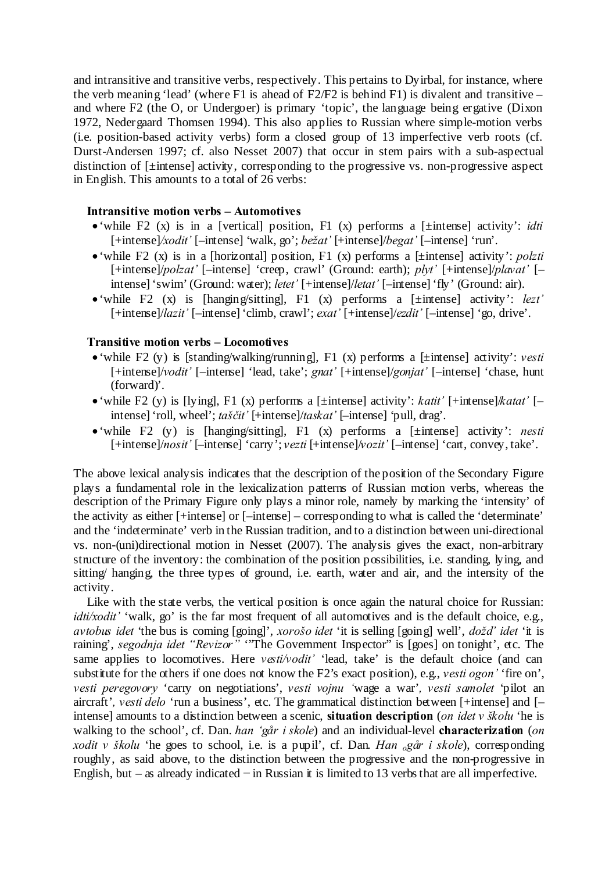and intransitive and transitive verbs, respectively. This pertains to Dyirbal, for instance, where the verb meaning 'lead' (where F1 is ahead of F2/F2 is behind F1) is divalent and transitive – and where F2 (the O, or Undergoer) is primary 'topic', the language being ergative (Dixon 1972, Nedergaard Thomsen 1994). This also applies to Russian where simple-motion verbs (i.e. position-based activity verbs) form a closed group of 13 imperfective verb roots (cf. Durst-Andersen 1997; cf. also Nesset 2007) that occur in stem pairs with a sub-aspectual distinction of [±intense] activity, corresponding to the progressive vs. non-progressive aspect in English. This amounts to a total of 26 verbs:

### **Intransitive motion verbs – Automotives**

- 'while F2 (x) is in a [vertical] position, F1 (x) performs a [±intense] activity': *idti* [+intense]*/xodit'* [–intense] 'walk, go'; *bežat'* [+intense]/*begat'* [–intense] 'run'.
- 'while F2 (x) is in a [horizontal] position, F1 (x) performs a [±intense] activity': *polzti* [+intense]/*polzat'* [–intense] 'creep, crawl' (Ground: earth); *plyt'* [+intense]/*plavat'* [– intense] 'swim' (Ground: water); *letet'* [+intense]/*letat'* [–intense] 'fly' (Ground: air).
- 'while F2 (x) is [hanging/sitting], F1 (x) performs a [±intense] activity': *lezt'* [+intense]/*lazit'* [–intense] 'climb, crawl'; *exat'* [+intense]/*ezdit'* [–intense] 'go, drive'.

#### **Transitive motion verbs – Locomotives**

- 'while F2 (y) is [standing/walking/running], F1 (x) performs a [±intense] activity': *vesti* [+intense]/*vodit'* [–intense] 'lead, take'; *gnat'* [+intense]/*gonjat'* [–intense] 'chase, hunt (forward)'.
- 'while F2 (y) is [lying], F1 (x) performs a [±intense] activity': *katit'* [+intense]/*katat'* [– intense] 'roll, wheel'; *taščit'* [+intense]/*taskat'* [–intense] 'pull, drag'.
- 'while F2 (y) is [hanging/sitting], F1 (x) performs a [±intense] activity': *nesti* [+intense]/*nosit'* [–intense] 'carry'; *vezti* [+intense]/*vozit'* [–intense] 'cart, convey, take'.

The above lexical analysis indicates that the description of the position of the Secondary Figure plays a fundamental role in the lexicalization patterns of Russian motion verbs, whereas the description of the Primary Figure only plays a minor role, namely by marking the 'intensity' of the activity as either [+intense] or [–intense] – corresponding to what is called the 'determinate' and the 'indeterminate' verb in the Russian tradition, and to a distinction between uni-directional vs. non-(uni)directional motion in Nesset (2007). The analysis gives the exact, non-arbitrary structure of the inventory: the combination of the position possibilities, i.e. standing, lying, and sitting/ hanging, the three types of ground, i.e. earth, water and air, and the intensity of the activity.

Like with the state verbs, the vertical position is once again the natural choice for Russian: *idti/xodit'* 'walk, go' is the far most frequent of all automotives and is the default choice, e.g., *avtobus idet* 'the bus is coming [going]', *xorošo idet* 'it is selling [going] well', *dožd' idet* 'it is raining', *segodnja idet "Revizor"* "The Government Inspector" is [goes] on tonight', etc. The same applies to locomotives. Here *vesti/vodit'* 'lead, take' is the default choice (and can substitute for the others if one does not know the F2's exact position), e.g., *vesti ogon'* 'fire on', *vesti peregovory* 'carry on negotiations', *vesti vojnu '*wage a war'*, vesti samolet* 'pilot an aircraft'*, vesti delo* 'run a business', etc. The grammatical distinction between [+intense] and [– intense] amounts to a distinction between a scenic, **situation description** (*on idet v školu* 'he is walking to the school', cf. Dan. *han 'går i skole*) and an individual-level **characterization** (*on xodit v školu* 'he goes to school, i.e. is a pupil', cf. Dan. *Han <sup>o</sup>går i skole*), corresponding roughly, as said above, to the distinction between the progressive and the non-progressive in English, but – as already indicated − in Russian it is limited to 13 verbs that are all imperfective.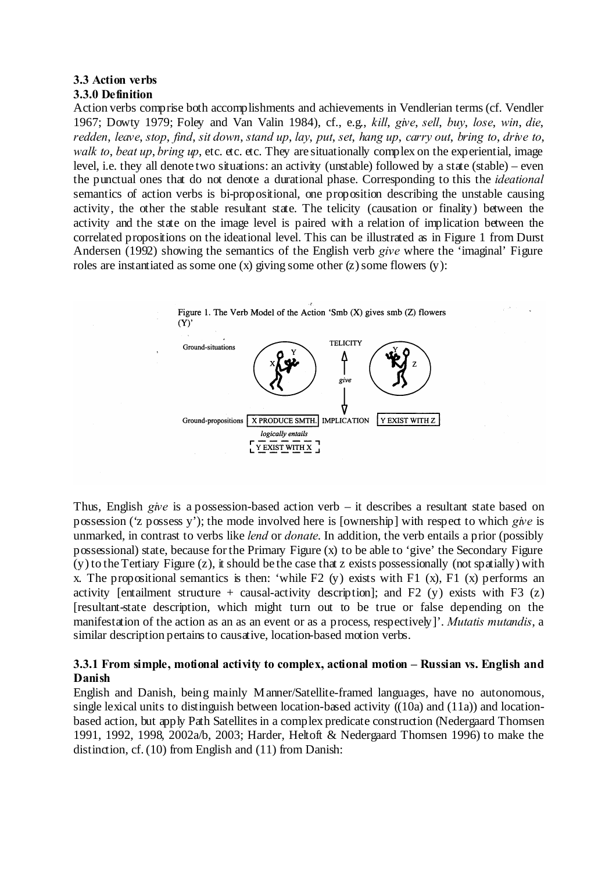#### **3.3 Action verbs 3.3.0 Definition**

Action verbs comprise both accomplishments and achievements in Vendlerian terms(cf. Vendler 1967; Dowty 1979; Foley and Van Valin 1984), cf., e.g., *kill*, *give*, *sell*, *buy*, *lose*, *win*, *die*, *redden*, *leave*, *stop*, *find*, *sit down*, *stand up*, *lay*, *put*, *set*, *hang up*, *carry out*, *bring to*, *drive to*, *walk to*, *beat up*, *bring up*, etc. etc. etc. They are situationally complex on the experiential, image level, i.e. they all denote two situations: an activity (unstable) followed by a state (stable) – even the punctual ones that do not denote a durational phase. Corresponding to this the *ideational* semantics of action verbs is bi-propositional, one proposition describing the unstable causing activity, the other the stable resultant state. The telicity (causation or finality) between the activity and the state on the image level is paired with a relation of implication between the correlated propositions on the ideational level. This can be illustrated as in Figure 1 from Durst Andersen (1992) showing the semantics of the English verb *give* where the 'imaginal' Figure roles are instantiated as some one  $(x)$  giving some other  $(z)$  some flowers  $(y)$ :



Thus, English *give* is a possession-based action verb – it describes a resultant state based on possession ('z possess y'); the mode involved here is [ownership] with respect to which *give* is unmarked, in contrast to verbs like *lend* or *donate*. In addition, the verb entails a prior (possibly possessional) state, because for the Primary Figure (x) to be able to 'give' the Secondary Figure (y) to the Tertiary Figure (z), it should be the case that z exists possessionally (not spatially) with x. The propositional semantics is then: 'while F2 (y) exists with F1 (x), F1 (x) performs an activity [entailment structure + causal-activity description]; and F2 (y) exists with F3 (z) [resultant-state description, which might turn out to be true or false depending on the manifestation of the action as an as an event or as a process, respectively]'. *Mutatis mutandis*, a similar description pertains to causative, location-based motion verbs.

# **3.3.1 From simple, motional activity to complex, actional motion – Russian vs. English and Danish**

English and Danish, being mainly Manner/Satellite-framed languages, have no autonomous, single lexical units to distinguish between location-based activity ((10a) and (11a)) and locationbased action, but apply Path Satellites in a complex predicate construction (Nedergaard Thomsen 1991, 1992, 1998, 2002a/b, 2003; Harder, Heltoft & Nedergaard Thomsen 1996) to make the distinction, cf. (10) from English and (11) from Danish: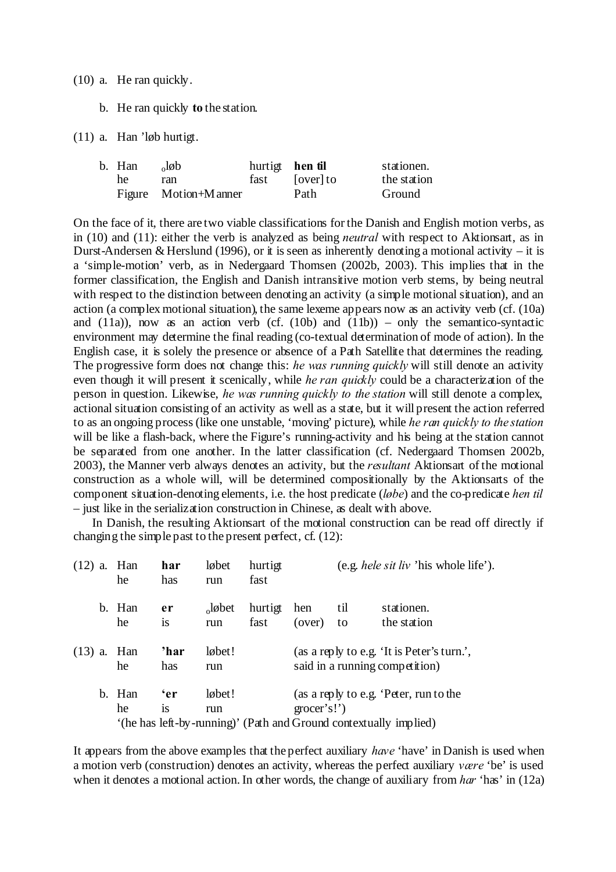(10) a. He ran quickly.

b. He ran quickly **to** the station.

(11) a. Han 'løb hurtigt.

| b. Han | $\partial$ løb       | hurtigt <b>hen til</b> |           | stationen.  |
|--------|----------------------|------------------------|-----------|-------------|
| he     | ran                  | fast                   | [over] to | the station |
|        | Figure Motion+Manner |                        | Path      | Ground      |

On the face of it, there are two viable classifications for the Danish and English motion verbs, as in (10) and (11): either the verb is analyzed as being *neutral* with respect to Aktionsart, as in Durst-Andersen & Herslund (1996), or it is seen as inherently denoting a motional activity – it is a 'simple-motion' verb, as in Nedergaard Thomsen (2002b, 2003). This implies that in the former classification, the English and Danish intransitive motion verb stems, by being neutral with respect to the distinction between denoting an activity (a simple motional situation), and an action (a complex motional situation), the same lexeme appears now as an activity verb (cf. (10a) and (11a)), now as an action verb (cf. (10b) and (11b)) – only the semantico-syntactic environment may determine the final reading (co-textual determination of mode of action). In the English case, it is solely the presence or absence of a Path Satellite that determines the reading. The progressive form does not change this: *he was running quickly* will still denote an activity even though it will present it scenically, while *he ran quickly* could be a characterization of the person in question. Likewise, *he was running quickly to the station* will still denote a complex, actional situation consisting of an activity as well as a state, but it will present the action referred to as an ongoing process (like one unstable, 'moving' picture), while *he ran quickly to the station* will be like a flash-back, where the Figure's running-activity and his being at the station cannot be separated from one another. In the latter classification (cf. Nedergaard Thomsen 2002b, 2003), the Manner verb always denotes an activity, but the *resultant* Aktionsart of the motional construction as a whole will, will be determined compositionally by the Aktionsarts of the component situation-denoting elements, i.e. the host predicate (*løbe*) and the co-predicate *hen til* – just like in the serialization construction in Chinese, as dealt with above.

In Danish, the resulting Aktionsart of the motional construction can be read off directly if changing the simple past to the present perfect, cf. (12):

| (12) | a. | Han<br>he     | har<br>has    | løbet<br>run   | hurtigt<br>fast |                     |     | (e.g. <i>hele sit liv</i> 'his whole life').                      |
|------|----|---------------|---------------|----------------|-----------------|---------------------|-----|-------------------------------------------------------------------|
|      |    | b. Han        | er            | $\alpha$ løbet | hurtigt         | hen                 | til | stationen.                                                        |
|      |    | he            | 1S            | run            | fast            | (over)              | to  | the station                                                       |
|      |    | $(13)$ a. Han | 'har          | løbet!         |                 |                     |     | (as a reply to e.g. 'It is Peter's turn.',                        |
|      |    | he            | has           | run            |                 |                     |     | said in a running competition)                                    |
|      |    | b. Han        | 'er           | løbet!         |                 |                     |     | (as a reply to e.g. 'Peter, run to the                            |
|      |    | he            | <sup>is</sup> | run            |                 | $\text{grocer's!'}$ |     |                                                                   |
|      |    |               |               |                |                 |                     |     | '(he has left-by-running)' (Path and Ground contextually implied) |

It appears from the above examples that the perfect auxiliary *have* 'have' in Danish is used when a motion verb (construction) denotes an activity, whereas the perfect auxiliary *være* 'be' is used when it denotes a motional action. In other words, the change of auxiliary from *har* 'has' in (12a)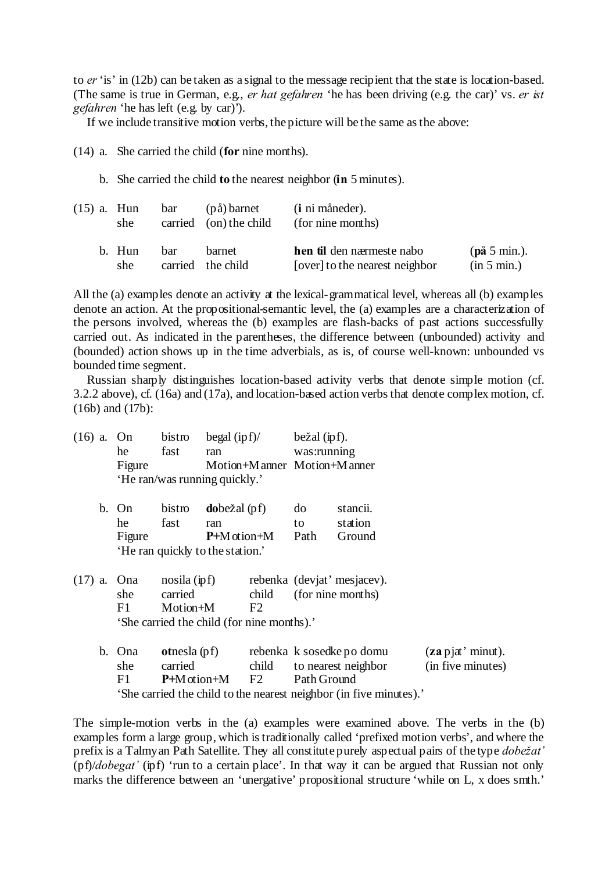to *er*'is' in (12b) can be taken as a signal to the message recipient that the state is location-based. (The same is true in German, e.g., *er hat gefahren* 'he has been driving (e.g. the car)' vs. *er ist gefahren* 'he has left (e.g. by car)').

If we include transitive motion verbs, the picture will be the same as the above:

(14) a. She carried the child (**for** nine months).

b. She carried the child **to** the nearest neighbor (**in** 5 minutes).

| (15) a. Hun | she           | bar         | (på) barnet<br>carried (on) the child | (i ni måneder).<br>(for nine months)                               |                             |
|-------------|---------------|-------------|---------------------------------------|--------------------------------------------------------------------|-----------------------------|
|             | b. Hun<br>she | <b>b</b> ar | barnet<br>carried the child           | <b>hen til</b> den nærmeste nabo<br>[over] to the nearest neighbor | (på 5 min.).<br>(in 5 min.) |

All the (a) examples denote an activity at the lexical-grammatical level, whereas all (b) examples denote an action. At the propositional-semantic level, the (a) examples are a characterization of the persons involved, whereas the (b) examples are flash-backs of past actions successfully carried out. As indicated in the parentheses, the difference between (unbounded) activity and (bounded) action shows up in the time adverbials, as is, of course well-known: unbounded vs bounded time segment.

Russian sharply distinguishes location-based activity verbs that denote simple motion (cf. 3.2.2 above), cf. (16a) and (17a), and location-based action verbs that denote complex motion, cf. (16b) and (17b):

| $(16)$ a. On |                                            | bistro                           | begal $(ipf)$ /        |                               | bežal ipf). |                                                                    |                      |
|--------------|--------------------------------------------|----------------------------------|------------------------|-------------------------------|-------------|--------------------------------------------------------------------|----------------------|
|              | he                                         | fast                             | ran                    |                               | was:running |                                                                    |                      |
|              | Figure                                     |                                  |                        | Motion+M anner Motion+M anner |             |                                                                    |                      |
|              |                                            | 'He ran/was running quickly.'    |                        |                               |             |                                                                    |                      |
|              | b. On                                      | bistro                           | <b>do</b> bežal $(pf)$ |                               | do          | stancii.                                                           |                      |
|              | he                                         | fast                             | ran                    |                               | to          | station                                                            |                      |
|              | Figure                                     |                                  | $P+M$ otion+M          |                               | Path        | Ground                                                             |                      |
|              |                                            | 'He ran quickly to the station.' |                        |                               |             |                                                                    |                      |
|              | $(17)$ a. Ona                              | $nosila$ (ipf)                   |                        |                               |             | rebenka (deviat' mesjacev).                                        |                      |
|              | she                                        | carried                          |                        | child                         |             | (for nine months)                                                  |                      |
|              | F1                                         | Motion+M                         |                        | F2                            |             |                                                                    |                      |
|              | 'She carried the child (for nine months).' |                                  |                        |                               |             |                                                                    |                      |
|              | b. Ona                                     | <b>ot</b> nesla (pf)             |                        |                               |             | rebenka k sosedke po domu                                          | $(za$ p jat' minut). |
|              | she                                        | carried                          |                        | child                         |             | to nearest neighbor                                                | (in five minutes)    |
|              | F1                                         |                                  | $P+M$ otion+M F2       |                               | Path Ground |                                                                    |                      |
|              |                                            |                                  |                        |                               |             | 'She carried the child to the nearest neighbor (in five minutes).' |                      |

The simple-motion verbs in the (a) examples were examined above. The verbs in the (b) examples form a large group, which is traditionally called 'prefixed motion verbs', and where the prefix is a Talmyan Path Satellite. They all constitute purely aspectual pairs of the type *dobežat'* (pf)/*dobegat'* (ipf) 'run to a certain place'. In that way it can be argued that Russian not only marks the difference between an 'unergative' propositional structure 'while on L, x does smth.'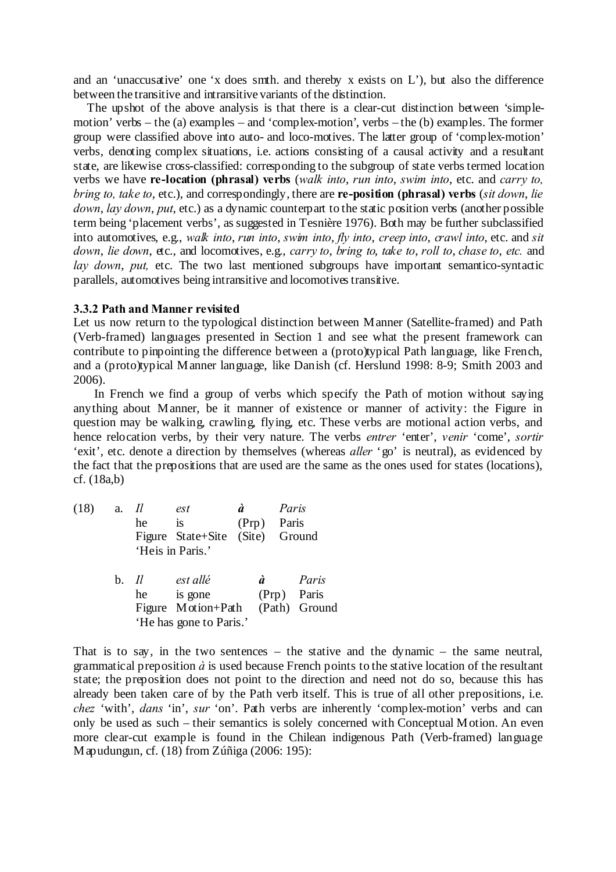and an 'unaccusative' one 'x does smth. and thereby x exists on L'), but also the difference between the transitive and intransitive variants of the distinction.

The upshot of the above analysis is that there is a clear-cut distinction between 'simplemotion' verbs – the (a) examples – and 'complex-motion', verbs – the (b) examples. The former group were classified above into auto- and loco-motives. The latter group of 'complex-motion' verbs, denoting complex situations, i.e. actions consisting of a causal activity and a resultant state, are likewise cross-classified: corresponding to the subgroup of state verbs termed location verbs we have **re-location (phrasal) verbs** (*walk into*, *run into*, *swim into*, etc. and *carry to, bring to, take to*, etc.), and correspondingly, there are **re-position (phrasal) verbs** (*sit down*, *lie down*, *lay down*, *put*, etc.) as a dynamic counterpart to the static position verbs (another possible term being 'placement verbs', as suggested in Tesnière 1976). Both may be further subclassified into automotives, e.g., *walk into*, *run into*, *swim into*, *fly into*, *creep into*, *crawl into*, etc. and *sit down*, *lie down*, etc., and locomotives, e.g., *carry to*, *bring to*, *take to*, *roll to*, *chase to*, *etc.* and *lay down*, *put,* etc. The two last mentioned subgroups have important semantico-syntactic parallels, automotives being intransitive and locomotivestransitive.

#### **3.3.2 Path and Manner revisited**

Let us now return to the typological distinction between Manner (Satellite-framed) and Path (Verb-framed) languages presented in Section 1 and see what the present framework can contribute to pinpointing the difference between a (proto)typical Path language, like French, and a (proto)typical Manner language, like Danish (cf. Herslund 1998: 8-9; Smith 2003 and 2006).

In French we find a group of verbs which specify the Path of motion without saying anything about Manner, be it manner of existence or manner of activity: the Figure in question may be walking, crawling, flying, etc. These verbs are motional action verbs, and hence relocation verbs, by their very nature. The verbs *entrer* 'enter', *venir* 'come', *sortir* 'exit', etc. denote a direction by themselves (whereas *aller* 'go' is neutral), as evidenced by the fact that the prepositions that are used are the same as the ones used for states (locations), cf. (18a,b)

(18) a. *Il est à Paris* he is (Prp) Paris Figure State+Site (Site) Ground 'Heis in Paris.' b. *Il est allé à Paris* he is gone (Prp) Paris Figure Motion+Path (Path) Ground 'He has gone to Paris.'

That is to say, in the two sentences – the stative and the dynamic – the same neutral, grammatical preposition  $\dot{a}$  is used because French points to the stative location of the resultant state; the preposition does not point to the direction and need not do so, because this has already been taken care of by the Path verb itself. This is true of all other prepositions, i.e. *chez* 'with', *dans* 'in', *sur* 'on'. Path verbs are inherently 'complex-motion' verbs and can only be used as such – their semantics is solely concerned with Conceptual Motion. An even more clear-cut example is found in the Chilean indigenous Path (Verb-framed) language Mapudungun, cf. (18) from Zúñiga (2006: 195):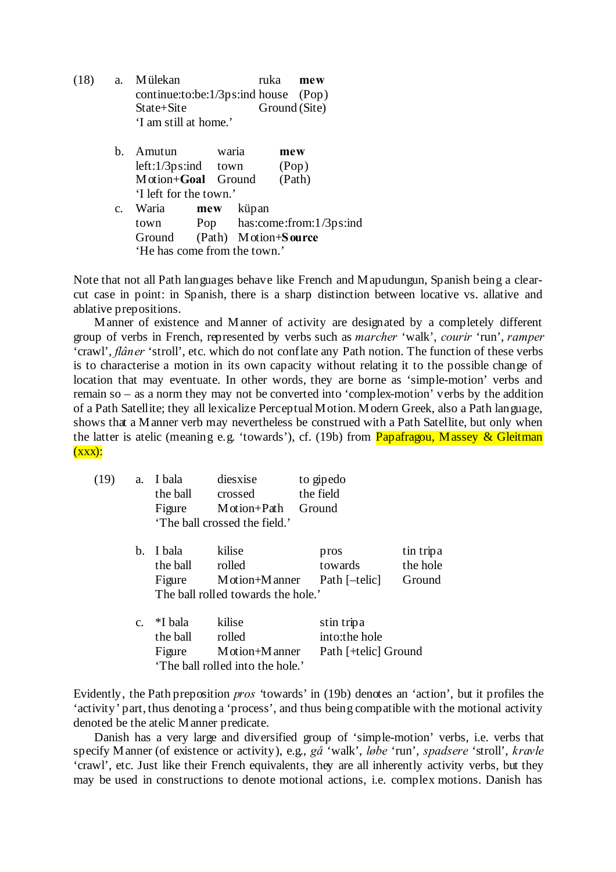| (18) | a. Mülekan                               | ruka <b>mew</b> |  |
|------|------------------------------------------|-----------------|--|
|      | continue:to:be: $1/3$ ps:ind house (Pop) |                 |  |
|      | $State + Site$                           | Ground (Site)   |  |
|      | 'I am still at home.'                    |                 |  |

|                | Amutun                       |  | waria            | mew                              |
|----------------|------------------------------|--|------------------|----------------------------------|
|                | $left:1/3ps:ind$ town        |  |                  | (Pop)                            |
|                | Motion+Goal Ground           |  |                  | (Path)                           |
|                | 'I left for the town.'       |  |                  |                                  |
| $\mathbf{C}$ . | Waria                        |  | <b>mew</b> küpan |                                  |
|                |                              |  |                  | town Pop has:come:from:1/3ps:ind |
|                | Ground                       |  |                  | (Path) Motion+Source             |
|                | 'He has come from the town.' |  |                  |                                  |

Note that not all Path languages behave like French and Mapudungun, Spanish being a clearcut case in point: in Spanish, there is a sharp distinction between locative vs. allative and ablative prepositions.

Manner of existence and Manner of activity are designated by a completely different group of verbs in French, represented by verbs such as *marcher* 'walk', *courir* 'run', *ramper* 'crawl', *flâner* 'stroll', etc. which do not conflate any Path notion. The function of these verbs is to characterise a motion in its own capacity without relating it to the possible change of location that may eventuate. In other words, they are borne as 'simple-motion' verbs and remain so – as a norm they may not be converted into 'complex-motion' verbs by the addition of a Path Satellite; they all lexicalize Perceptual Motion. Modern Greek, also a Path language, shows that a Manner verb may nevertheless be construed with a Path Satellite, but only when the latter is atelic (meaning e.g. 'towards'), cf. (19b) from **Papafragou, Massey & Gleitman**  $(xxx)$ :

| (19) | a.          | I bala<br>the ball<br>Figure  | diesxise<br>crossed<br>Motion+Path<br>'The ball crossed the field.'       | to gipedo<br>the field<br>Ground                    |                                 |
|------|-------------|-------------------------------|---------------------------------------------------------------------------|-----------------------------------------------------|---------------------------------|
|      | b.          | I bala<br>the ball<br>Figure  | kilise<br>rolled<br>M otion+M anner<br>The ball rolled towards the hole.' | pros<br>towards<br>Path [-telic]                    | tin tripa<br>the hole<br>Ground |
|      | $C_{\star}$ | *I bala<br>the ball<br>Figure | kilise<br>rolled<br>M otion+M anner<br>'The ball rolled into the hole.'   | stin tripa<br>into:the hole<br>Path [+telic] Ground |                                 |

Evidently, the Path preposition *pros* 'towards' in (19b) denotes an 'action', but it profiles the 'activity' part, thus denoting a 'process', and thus being compatible with the motional activity denoted be the atelic Manner predicate.

Danish has a very large and diversified group of 'simple-motion' verbs, i.e. verbs that specify Manner (of existence or activity), e.g., *gå* 'walk', *løbe* 'run', *spadsere* 'stroll', *kravle* 'crawl', etc. Just like their French equivalents, they are all inherently activity verbs, but they may be used in constructions to denote motional actions, i.e. complex motions. Danish has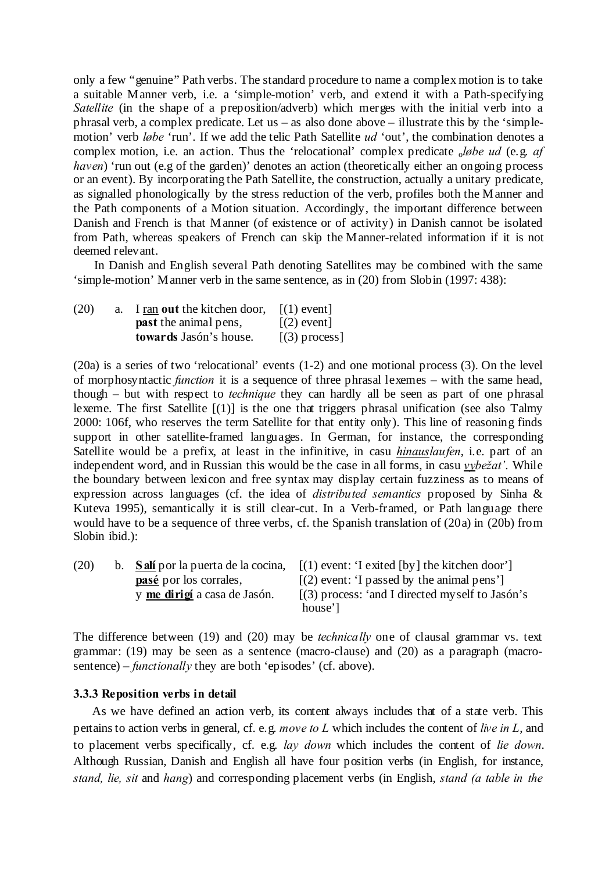only a few "genuine" Path verbs. The standard procedure to name a complex motion is to take a suitable Manner verb, i.e. a 'simple-motion' verb, and extend it with a Path-specifying *Satellite* (in the shape of a preposition/adverb) which merges with the initial verb into a phrasal verb, a complex predicate. Let us – as also done above – illustrate this by the 'simplemotion' verb *løbe* 'run'. If we add the telic Path Satellite *ud* 'out', the combination denotes a complex motion, i.e. an action. Thus the 'relocational' complex predicate *oløbe ud* (e.g. *af haven*) 'run out (e.g of the garden)' denotes an action (theoretically either an ongoing process or an event). By incorporating the Path Satellite, the construction, actually a unitary predicate, as signalled phonologically by the stress reduction of the verb, profiles both the Manner and the Path components of a Motion situation. Accordingly, the important difference between Danish and French is that Manner (of existence or of activity) in Danish cannot be isolated from Path, whereas speakers of French can skip the Manner-related information if it is not deemed relevant.

In Danish and English several Path denoting Satellites may be combined with the same 'simple-motion' Manner verb in the same sentence, as in (20) from Slobin (1997: 438):

| (20) | a. | I ran out the kitchen door,  | $\lceil$ (1) event |
|------|----|------------------------------|--------------------|
|      |    | <b>past</b> the animal pens, | $\lceil$ (2) event |
|      |    | towards Jasón's house.       | $[(3)$ process]    |

(20a) is a series of two 'relocational' events (1-2) and one motional process (3). On the level of morphosyntactic *function* it is a sequence of three phrasal lexemes – with the same head, though – but with respect to *technique* they can hardly all be seen as part of one phrasal lexeme. The first Satellite [(1)] is the one that triggers phrasal unification (see also Talmy 2000: 106f, who reserves the term Satellite for that entity only). This line of reasoning finds support in other satellite-framed languages. In German, for instance, the corresponding Satellite would be a prefix, at least in the infinitive, in casu *hinauslaufen*, i.e. part of an independent word, and in Russian this would be the case in all forms, in casu *vybežat'*. While the boundary between lexicon and free syntax may display certain fuzziness as to means of expression across languages (cf. the idea of *distributed semantics* proposed by Sinha & Kuteva 1995), semantically it is still clear-cut. In a Verb-framed, or Path language there would have to be a sequence of three verbs, cf. the Spanish translation of (20a) in (20b) from Slobin ibid.):

| (20) |                                     | b. <b>Salí</b> por la puerta de la cocina, $[(1)$ event: 'I exited $[by]$ the kitchen door' |
|------|-------------------------------------|---------------------------------------------------------------------------------------------|
|      | <b>pasé</b> por los corrales,       | $(2)$ event: 'I passed by the animal pens']                                                 |
|      | y <u>me dirigí</u> a casa de Jasón. | $(3)$ process: 'and I directed myself to Jasón's                                            |
|      |                                     | house']                                                                                     |

The difference between (19) and (20) may be *technically* one of clausal grammar vs. text grammar: (19) may be seen as a sentence (macro-clause) and (20) as a paragraph (macrosentence) – *functionally* they are both 'episodes' (cf. above).

#### **3.3.3 Reposition verbs in detail**

As we have defined an action verb, its content always includes that of a state verb. This pertains to action verbs in general, cf. e.g. *move to L* which includes the content of *live in L*, and to placement verbs specifically, cf. e.g. *lay down* which includes the content of *lie down*. Although Russian, Danish and English all have four position verbs (in English, for instance, *stand, lie, sit* and *hang*) and corresponding placement verbs (in English, *stand (a table in the*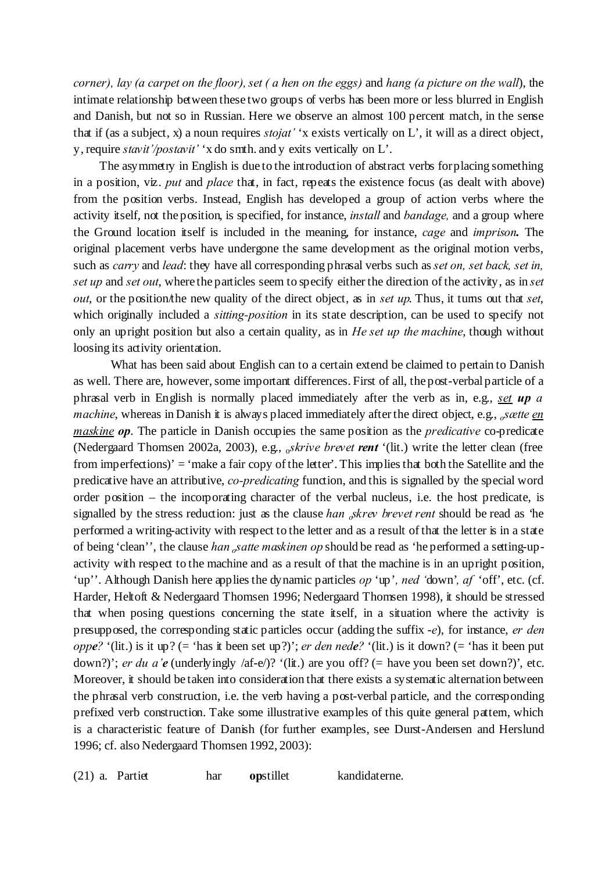*corner), lay (a carpet on the floor), set ( a hen on the eggs)* and *hang (a picture on the wall*), the intimate relationship between these two groups of verbs has been more or less blurred in English and Danish, but not so in Russian. Here we observe an almost 100 percent match, in the sense that if (as a subject, x) a noun requires *stojat'* 'x exists vertically on L', it will as a direct object, y, require *stavit'/postavit'* 'x do smth. and y exits vertically on L'.

The asymmetry in English is due to the introduction of abstract verbs for placing something in a position, viz. *put* and *place* that, in fact, repeats the existence focus (as dealt with above) from the position verbs. Instead, English has developed a group of action verbs where the activity itself, not the position, is specified, for instance, *install* and *bandage,* and a group where the Ground location itself is included in the meaning, for instance, *cage* and *imprison.* The original placement verbs have undergone the same development as the original motion verbs, such as *carry* and *lead*: they have all corresponding phrasal verbs such as*set on, set back, set in, set up* and *set out*, where the particles seem to specify either the direction of the activity, as in *set out*, or the position/the new quality of the direct object, as in *set up*. Thus, it turns out that *set*, which originally included a *sitting-position* in its state description, can be used to specify not only an upright position but also a certain quality, as in *He set up the machine*, though without loosing its activity orientation.

What has been said about English can to a certain extend be claimed to pertain to Danish as well. There are, however, some important differences. First of all, the post-verbal particle of a phrasal verb in English is normally placed immediately after the verb as in, e.g., *set up a machine*, whereas in Danish it is always placed immediately after the direct object, e.g., *<sup>o</sup>sætte en maskine op*. The particle in Danish occupies the same position as the *predicative* co-predicate (Nedergaard Thomsen 2002a, 2003), e.g., <sup>o</sup>*skrive brevet rent* '(lit.) write the letter clean (free from imperfections)' = 'make a fair copy of the letter'. This implies that both the Satellite and the predicative have an attributive, *co-predicating* function, and this is signalled by the special word order position – the incorporating character of the verbal nucleus, i.e. the host predicate, is signalled by the stress reduction: just as the clause *han <sup>o</sup>skrev brevet rent* should be read as 'he performed a writing-activity with respect to the letter and as a result of that the letter is in a state of being 'clean'', the clause *han <sup>o</sup>satte maskinen op* should be read as 'he performed a setting-upactivity with respect to the machine and as a result of that the machine is in an upright position, 'up''. Although Danish here applies the dynamic particles *op* 'up', ned 'down', af 'off', etc. (cf. Harder, Heltoft & Nedergaard Thomsen 1996; Nedergaard Thomsen 1998), it should be stressed that when posing questions concerning the state itself, in a situation where the activity is presupposed, the corresponding static particles occur (adding the suffix -*e*), for instance, *er den oppe?* '(lit.) is it up? (= 'has it been set up?)'; *er den nede?* '(lit.) is it down? (= 'has it been put down?)'; *er du a'e* (underlyingly /af-e/)? '(lit.) are you off? (= have you been set down?)', etc. Moreover, it should be taken into consideration that there exists a systematic alternation between the phrasal verb construction, i.e. the verb having a post-verbal particle, and the corresponding prefixed verb construction. Take some illustrative examples of this quite general pattern, which is a characteristic feature of Danish (for further examples, see Durst-Andersen and Herslund 1996; cf. also Nedergaard Thomsen 1992, 2003):

(21) a. Partiet har **op**stillet kandidaterne.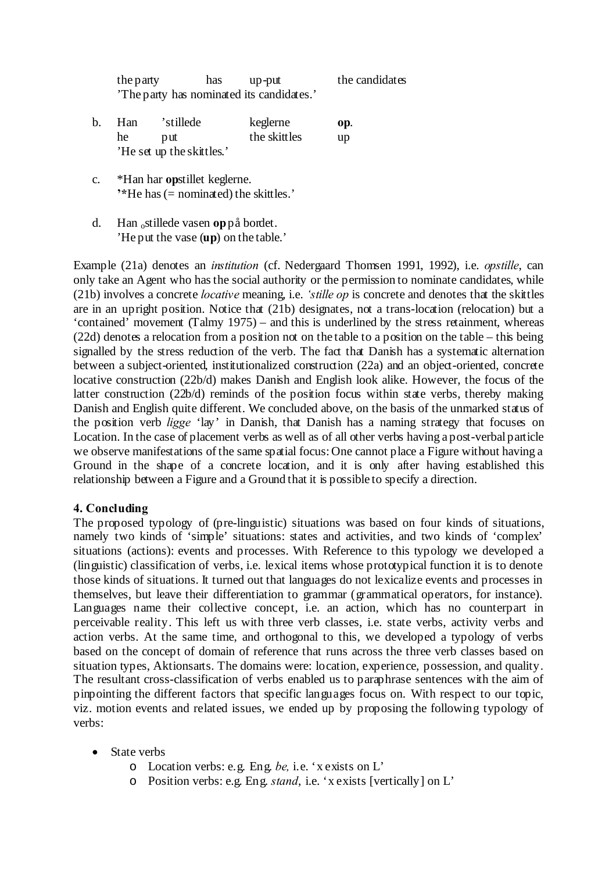| the party | has | up-put                                    | the candidates |
|-----------|-----|-------------------------------------------|----------------|
|           |     | 'The party has nominated its candidates.' |                |

- b. Han 'stillede keglerne **op**. he put the skittles up 'He set up the skittles.'
- c. \*Han har **op**stillet keglerne. **'\***He has(= nominated) the skittles.'
- d. Han <sup>o</sup>stillede vasen **op**på bordet. 'He put the vase (**up**) on the table.'

Example (21a) denotes an *institution* (cf. Nedergaard Thomsen 1991, 1992), i.e. *opstille*, can only take an Agent who has the social authority or the permission to nominate candidates, while (21b) involves a concrete *locative* meaning, i.e. *'stille op* is concrete and denotes that the skittles are in an upright position. Notice that (21b) designates, not a trans-location (relocation) but a 'contained' movement (Talmy 1975) – and this is underlined by the stress retainment, whereas  $(22d)$  denotes a relocation from a position not on the table to a position on the table – this being signalled by the stress reduction of the verb. The fact that Danish has a systematic alternation between a subject-oriented, institutionalized construction (22a) and an object-oriented, concrete locative construction (22b/d) makes Danish and English look alike. However, the focus of the latter construction (22b/d) reminds of the position focus within state verbs, thereby making Danish and English quite different. We concluded above, on the basis of the unmarked status of the position verb *ligge* 'lay' in Danish, that Danish has a naming strategy that focuses on Location. In the case of placement verbs as well as of all other verbs having a post-verbal particle we observe manifestations of the same spatial focus: One cannot place a Figure without having a Ground in the shape of a concrete location, and it is only after having established this relationship between a Figure and a Ground that it is possible to specify a direction.

# **4. Concluding**

The proposed typology of (pre-linguistic) situations was based on four kinds of situations, namely two kinds of 'simple' situations: states and activities, and two kinds of 'complex' situations (actions): events and processes. With Reference to this typology we developed a (linguistic) classification of verbs, i.e. lexical items whose prototypical function it is to denote those kinds of situations. It turned out that languages do not lexicalize events and processes in themselves, but leave their differentiation to grammar (grammatical operators, for instance). Languages name their collective concept, i.e. an action, which has no counterpart in perceivable reality. This left us with three verb classes, i.e. state verbs, activity verbs and action verbs. At the same time, and orthogonal to this, we developed a typology of verbs based on the concept of domain of reference that runs across the three verb classes based on situation types, Aktionsarts. The domains were: location, experience, possession, and quality. The resultant cross-classification of verbs enabled us to paraphrase sentences with the aim of pinpointing the different factors that specific languages focus on. With respect to our topic, viz. motion events and related issues, we ended up by proposing the following typology of verbs:

- State verbs
	- o Location verbs: e.g. Eng. *be,* i.e. 'x exists on L'
	- o Position verbs: e.g. Eng. *stand*, i.e. 'x exists [vertically] on L'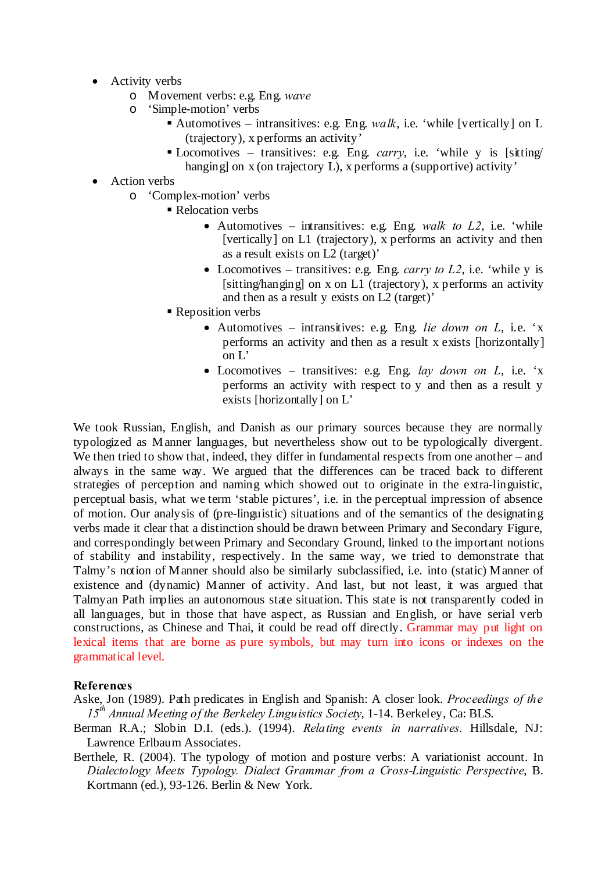- Activity verbs
	- o Movement verbs: e.g. Eng. *wave*
	- o 'Simple-motion' verbs
		- Automotives intransitives: e.g. Eng. *walk*, i.e. 'while [vertically] on  $L$ (trajectory), x performs an activity'
		- Locomotives transitives: e.g. Eng. *carry*, i.e. 'while y is [sitting/ hanging] on x (on trajectory L), x performs a (supportive) activity'
- Action verbs
	- o 'Complex-motion' verbs
		- Relocation verbs
			- Automotives intransitives: e.g. Eng. *walk to L2*, i.e. 'while [vertically] on L1 (trajectory), x performs an activity and then as a result exists on L2 (target)'
			- Locomotives transitives: e.g. Eng. *carry to L2*, i.e. 'while y is [sitting/hanging] on x on L1 (trajectory), x performs an activity and then as a result y exists on L2 (target)'
		- **Reposition verbs** 
			- Automotives intransitives: e.g. Eng. *lie down on L*, i.e. 'x performs an activity and then as a result x exists [horizontally] on L'
			- Locomotives transitives: e.g. Eng. *lay down on L*, i.e. 'x performs an activity with respect to y and then as a result y exists [horizontally] on L'

We took Russian, English, and Danish as our primary sources because they are normally typologized as Manner languages, but nevertheless show out to be typologically divergent. We then tried to show that, indeed, they differ in fundamental respects from one another – and always in the same way. We argued that the differences can be traced back to different strategies of perception and naming which showed out to originate in the extra-linguistic, perceptual basis, what we term 'stable pictures', i.e. in the perceptual impression of absence of motion. Our analysis of (pre-linguistic) situations and of the semantics of the designating verbs made it clear that a distinction should be drawn between Primary and Secondary Figure, and correspondingly between Primary and Secondary Ground, linked to the important notions of stability and instability, respectively. In the same way, we tried to demonstrate that Talmy's notion of Manner should also be similarly subclassified, i.e. into (static) Manner of existence and (dynamic) Manner of activity. And last, but not least, it was argued that Talmyan Path implies an autonomous state situation. This state is not transparently coded in all languages, but in those that have aspect, as Russian and English, or have serial verb constructions, as Chinese and Thai, it could be read off directly. Grammar may put light on lexical items that are borne as pure symbols, but may turn into icons or indexes on the grammatical level.

# **References**

Aske, Jon (1989). Path predicates in English and Spanish: A closer look. *Proceedings of the 15th Annual Meeting of the Berkeley Linguistics Society*, 1-14. Berkeley, Ca: BLS.

- Berman R.A.; Slobin D.I. (eds.). (1994). *Relating events in narratives.* Hillsdale, NJ: Lawrence Erlbaum Associates.
- Berthele, R. (2004). The typology of motion and posture verbs: A variationist account. In *Dialectology Meets Typology. Dialect Grammar from a Cross-Linguistic Perspective*, B. Kortmann (ed.), 93-126. Berlin & New York.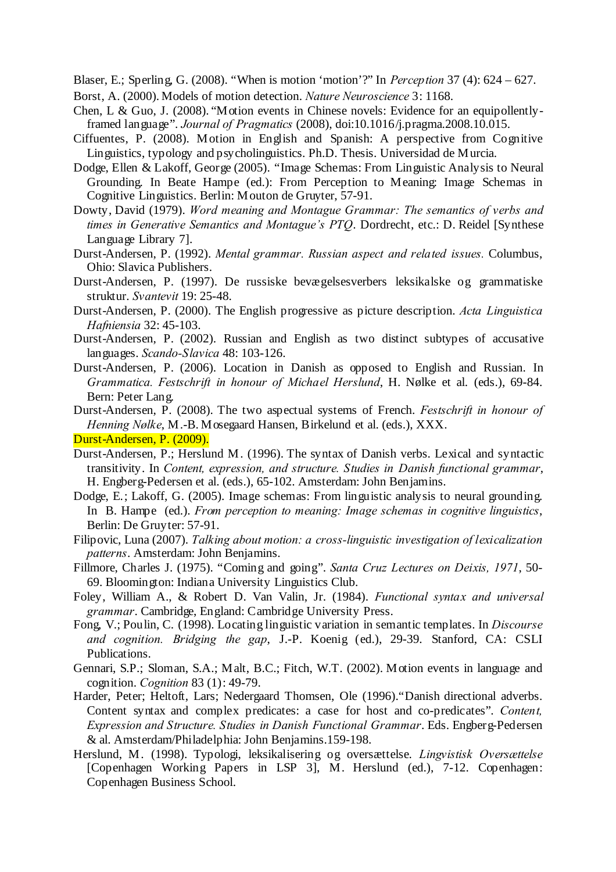Blaser, E.; Sperling, G. (2008). "When is motion 'motion'?" In *Perception* 37 (4): 624 – 627. Borst, A. (2000). Models of motion detection. *Nature Neuroscience* 3: 1168.

- Chen, L & Guo, J. (2008). "Motion events in Chinese novels: Evidence for an equipollentlyframed language". *Journal of Pragmatics* (2008), doi:10.1016/j.pragma.2008.10.015.
- Ciffuentes, P. (2008). Motion in English and Spanish: A perspective from Cognitive Linguistics, typology and psycholinguistics. Ph.D. Thesis. Universidad de Murcia.
- Dodge, Ellen & Lakoff, George (2005). "Image Schemas: From Linguistic Analysis to Neural Grounding. In Beate Hampe (ed.): From Perception to Meaning: Image Schemas in Cognitive Linguistics. Berlin: Mouton de Gruyter, 57-91.
- Dowty, David (1979). *Word meaning and Montague Grammar: The semantics of verbs and times in Generative Semantics and Montague's PTQ*. Dordrecht, etc.: D. Reidel [Synthese Language Library 7].
- Durst-Andersen, P. (1992). *Mental grammar. Russian aspect and related issues.* Columbus, Ohio: Slavica Publishers.
- Durst-Andersen, P. (1997). De russiske bevægelsesverbers leksikalske og grammatiske struktur. *Svantevit* 19: 25-48.
- Durst-Andersen, P. (2000). The English progressive as picture description. *Acta Linguistica Hafniensia* 32: 45-103.
- Durst-Andersen, P. (2002). Russian and English as two distinct subtypes of accusative languages. *Scando-Slavica* 48: 103-126.
- Durst-Andersen, P. (2006). Location in Danish as opposed to English and Russian. In *Grammatica. Festschrift in honour of Michael Herslund*, H. Nølke et al. (eds.), 69-84. Bern: Peter Lang.
- Durst-Andersen, P. (2008). The two aspectual systems of French. *Festschrift in honour of Henning Nølke*, M.-B. Mosegaard Hansen, Birkelund et al. (eds.), XXX.

Durst-Andersen, P. (2009).

- Durst-Andersen, P.; Herslund M. (1996). The syntax of Danish verbs. Lexical and syntactic transitivity. In *Content, expression, and structure. Studies in Danish functional grammar*, H. Engberg-Pedersen et al. (eds.), 65-102. Amsterdam: John Benjamins.
- Dodge, E.; Lakoff, G. (2005). Image schemas: From linguistic analysis to neural grounding. In B. Hampe (ed.). *From perception to meaning: Image schemas in cognitive linguistics*, Berlin: De Gruyter: 57-91.
- Filipovic, Luna (2007). *Talking about motion: a cross-linguistic investigation of lexicalization patterns*. Amsterdam: John Benjamins.
- Fillmore, Charles J. (1975). "Coming and going". *Santa Cruz Lectures on Deixis, 1971*, 50- 69. Bloomington: Indiana University Linguistics Club.
- Foley, William A., & Robert D. Van Valin, Jr. (1984). *Functional syntax and universal grammar*. Cambridge, England: Cambridge University Press.
- Fong, V.; Poulin, C. (1998). Locating linguistic variation in semantic templates. In *Discourse and cognition. Bridging the gap*, J.-P. Koenig (ed.), 29-39. Stanford, CA: CSLI Publications.
- Gennari, S.P.; Sloman, S.A.; Malt, B.C.; Fitch, W.T. (2002). Motion events in language and cognition. *Cognition* 83 (1): 49-79.
- Harder, Peter; Heltoft, Lars; Nedergaard Thomsen, Ole (1996)."Danish directional adverbs. Content syntax and complex predicates: a case for host and co-predicates". *Content, Expression and Structure. Studies in Danish Functional Grammar*. Eds. Engberg-Pedersen & al. Amsterdam/Philadelphia: John Benjamins.159-198.
- Herslund, M. (1998). Typologi, leksikalisering og oversættelse. *Lingvistisk Oversættelse* [Copenhagen Working Papers in LSP 3], M. Herslund (ed.), 7-12. Copenhagen: Copenhagen Business School.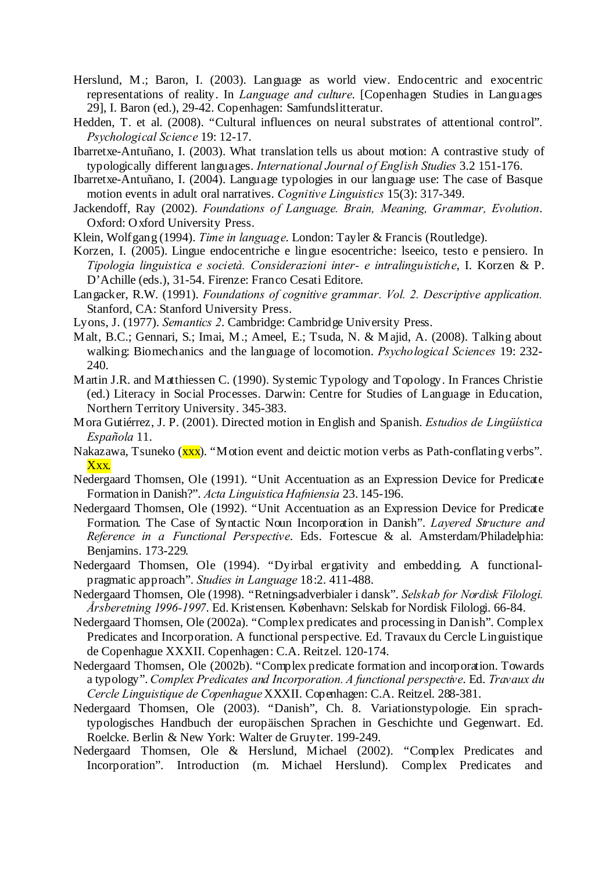- Herslund, M.; Baron, I. (2003). Language as world view. Endocentric and exocentric representations of reality. In *Language and culture*. [Copenhagen Studies in Languages 29], I. Baron (ed.), 29-42. Copenhagen: Samfundslitteratur.
- Hedden, T. et al. (2008). "Cultural influences on neural substrates of attentional control". *Psychological Science* 19: 12-17.
- Ibarretxe-Antuñano, I. (2003). What translation tells us about motion: A contrastive study of typologically different languages. *International Journal of English Studies* 3.2 151-176.
- Ibarretxe-Antuñano, I. (2004). Language typologies in our language use: The case of Basque motion events in adult oral narratives. *Cognitive Linguistics* 15(3): 317-349.
- Jackendoff, Ray (2002). *Foundations of Language. Brain, Meaning, Grammar, Evolution*. Oxford: Oxford University Press.
- Klein, Wolfgang (1994). *Time in language*. London: Tayler & Francis (Routledge).
- Korzen, I. (2005). Lingue endocentriche e lingue esocentriche: lseeico, testo e pensiero. In *Tipologia linguistica e società. Considerazioni inter- e intralinguistiche*, I. Korzen & P. D'Achille (eds.), 31-54. Firenze: Franco Cesati Editore.
- Langacker, R.W. (1991). *Foundations of cognitive grammar. Vol. 2. Descriptive application.* Stanford, CA: Stanford University Press.
- Lyons, J. (1977). *Semantics 2*. Cambridge: Cambridge University Press.
- Malt, B.C.; Gennari, S.; Imai, M.; Ameel, E.; Tsuda, N. & Majid, A. (2008). Talking about walking: Biomechanics and the language of locomotion. *Psychological Sciences* 19: 232- 240.
- Martin J.R. and Matthiessen C. (1990). Systemic Typology and Topology. In Frances Christie (ed.) Literacy in Social Processes. Darwin: Centre for Studies of Language in Education, Northern Territory University. 345-383.
- Mora Gutiérrez, J. P. (2001). Directed motion in English and Spanish. *Estudios de Lingüística Española* 11.
- Nakazawa, Tsuneko (xxx). "Motion event and deictic motion verbs as Path-conflating verbs". Xxx.
- Nedergaard Thomsen, Ole (1991). "Unit Accentuation as an Expression Device for Predicate Formation in Danish?". *Acta Linguistica Hafniensia* 23. 145-196.
- Nedergaard Thomsen, Ole (1992). "Unit Accentuation as an Expression Device for Predicate Formation. The Case of Syntactic Noun Incorporation in Danish". *Layered Structure and Reference in a Functional Perspective*. Eds. Fortescue & al. Amsterdam/Philadelphia: Benjamins. 173-229.
- Nedergaard Thomsen, Ole (1994). "Dyirbal ergativity and embedding. A functionalpragmatic approach". *Studies in Language* 18:2. 411-488.
- Nedergaard Thomsen, Ole (1998). "Retningsadverbialer i dansk". *Selskab for Nordisk Filologi. Årsberetning 1996-1997*. Ed. Kristensen. København: Selskab for Nordisk Filologi. 66-84.
- Nedergaard Thomsen, Ole (2002a). "Complex predicates and processing in Danish". Complex Predicates and Incorporation. A functional perspective. Ed. Travaux du Cercle Linguistique de Copenhague XXXII. Copenhagen: C.A. Reitzel. 120-174.
- Nedergaard Thomsen, Ole (2002b). "Complex predicate formation and incorporation. Towards a typology".*Complex Predicates and Incorporation. A functional perspective*. Ed. *Travaux du Cercle Linguistique de Copenhague*XXXII. Copenhagen: C.A. Reitzel. 288-381.
- Nedergaard Thomsen, Ole (2003). "Danish", Ch. 8. Variationstypologie. Ein sprachtypologisches Handbuch der europäischen Sprachen in Geschichte und Gegenwart. Ed. Roelcke. Berlin & New York: Walter de Gruyter. 199-249.
- Nedergaard Thomsen, Ole & Herslund, Michael (2002). "Complex Predicates and Incorporation". Introduction (m. Michael Herslund). Complex Predicates and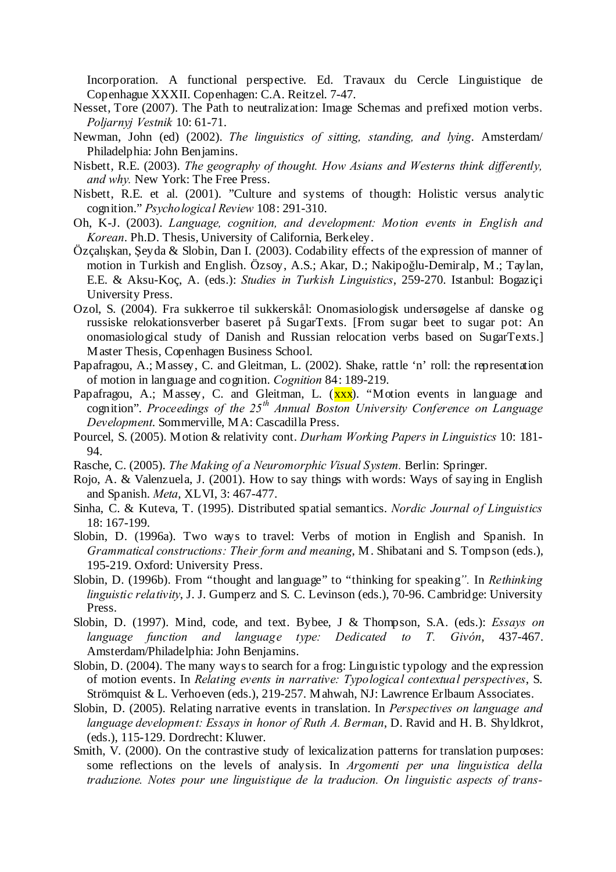Incorporation. A functional perspective. Ed. Travaux du Cercle Linguistique de Copenhague XXXII. Copenhagen: C.A. Reitzel. 7-47.

- Nesset, Tore (2007). The Path to neutralization: Image Schemas and prefixed motion verbs. *Poljarnyj Vestnik* 10: 61-71.
- Newman, John (ed) (2002). *The linguistics of sitting, standing, and lying*. Amsterdam/ Philadelphia: John Benjamins.
- Nisbett, R.E. (2003). *The geography of thought. How Asians and Westerns think differently, and why.* New York: The Free Press.
- Nisbett, R.E. et al. (2001). "Culture and systems of thougth: Holistic versus analytic cognition." *Psychological Review* 108: 291-310.
- Oh, K-J. (2003). *Language, cognition, and development: Motion events in English and Korean*. Ph.D. Thesis, University of California, Berkeley.
- Özçalışkan, Şeyda & Slobin, Dan I. (2003). Codability effects of the expression of manner of motion in Turkish and English. Özsoy, A.S.; Akar, D.; Nakipoğlu-Demiralp, M.; Taylan, E.E. & Aksu-Koç, A. (eds.): *Studies in Turkish Linguistics*, 259-270. Istanbul: Bogaziçi University Press.
- Ozol, S. (2004). Fra sukkerroe til sukkerskål: Onomasiologisk undersøgelse af danske og russiske relokationsverber baseret på SugarTexts. [From sugar beet to sugar pot: An onomasiological study of Danish and Russian relocation verbs based on SugarTexts.] Master Thesis, Copenhagen Business School.
- Papafragou, A.; Massey, C. and Gleitman, L. (2002). Shake, rattle 'n' roll: the representation of motion in language and cognition. *Cognition* 84: 189-219.
- Papafragou, A.; Massey, C. and Gleitman, L.  $(xxx)$ . "Motion events in language and cognition". *Proceedings of the 25th Annual Boston University Conference on Language Development*. Sommerville, MA: Cascadilla Press.
- Pourcel, S. (2005). Motion & relativity cont. *Durham Working Papers in Linguistics* 10: 181- 94.
- Rasche, C. (2005). *The Making of a Neuromorphic Visual System.* Berlin: Springer.
- Rojo, A. & Valenzuela, J. (2001). How to say things with words: Ways of saying in English and Spanish. *Meta*, XLVI, 3: 467-477.
- Sinha, C. & Kuteva, T. (1995). Distributed spatial semantics. *Nordic Journal of Linguistics* 18: 167-199.
- Slobin, D. (1996a). Two ways to travel: Verbs of motion in English and Spanish. In *Grammatical constructions: Their form and meaning*, M. Shibatani and S. Tompson (eds.), 195-219. Oxford: University Press.
- Slobin, D. (1996b). From "thought and language" to "thinking for speaking*".* In *Rethinking linguistic relativity*, J. J. Gumperz and S. C. Levinson (eds.), 70-96. Cambridge: University Press.
- Slobin, D. (1997). Mind, code, and text. Bybee, J & Thompson, S.A. (eds.): *Essays on language function and language type: Dedicated to T. Givón*, 437-467. Amsterdam/Philadelphia: John Benjamins.
- Slobin, D. (2004). The many ways to search for a frog: Linguistic typology and the expression of motion events. In *Relating events in narrative: Typological contextual perspectives*, S. Strömquist & L. Verhoeven (eds.), 219-257. Mahwah, NJ: Lawrence Erlbaum Associates.
- Slobin, D. (2005). Relating narrative events in translation. In *Perspectives on language and language development: Essays in honor of Ruth A. Berman*, D. Ravid and H. B. Shyldkrot, (eds.), 115-129. Dordrecht: Kluwer.
- Smith, V. (2000). On the contrastive study of lexicalization patterns for translation purposes: some reflections on the levels of analysis. In *Argomenti per una linguistica della traduzione. Notes pour une linguistique de la traducion. On linguistic aspects of trans-*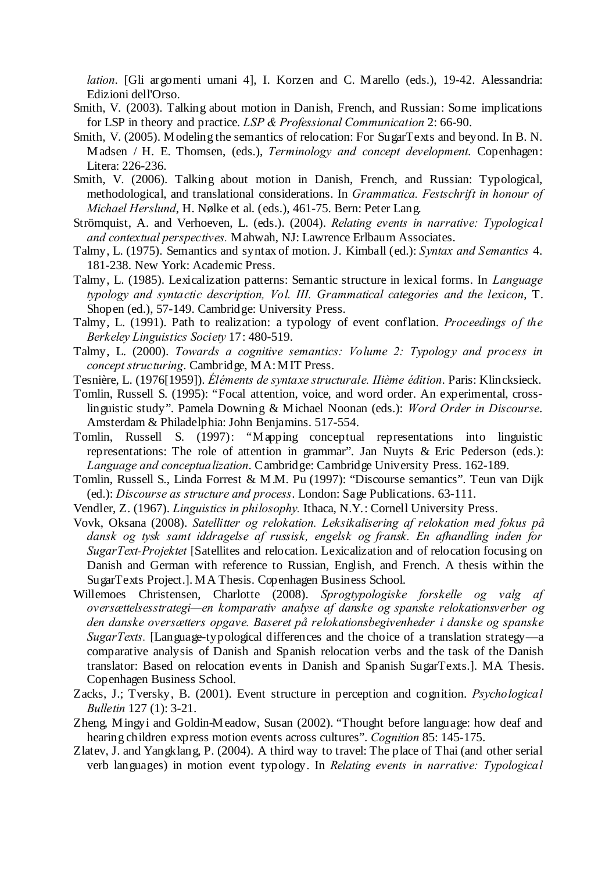*lation*. [Gli argomenti umani 4], I. Korzen and C. Marello (eds.), 19-42. Alessandria: Edizioni dell'Orso.

- Smith, V. (2003). Talking about motion in Danish, French, and Russian: Some implications for LSP in theory and practice. *LSP & Professional Communication* 2: 66-90.
- Smith, V. (2005). Modeling the semantics of relocation: For SugarTexts and beyond. In B. N. Madsen / H. E. Thomsen, (eds.), *Terminology and concept development*. Copenhagen: Litera: 226-236.
- Smith, V. (2006). Talking about motion in Danish, French, and Russian: Typological, methodological, and translational considerations. In *Grammatica. Festschrift in honour of Michael Herslund*, H. Nølke et al. (eds.), 461-75. Bern: Peter Lang.
- Strömquist, A. and Verhoeven, L. (eds.). (2004). *Relating events in narrative: Typological and contextual perspectives.* Mahwah, NJ: Lawrence Erlbaum Associates.
- Talmy, L. (1975). Semantics and syntax of motion. J. Kimball (ed.): *Syntax and Semantics* 4. 181-238. New York: Academic Press.
- Talmy, L. (1985). Lexicalization patterns: Semantic structure in lexical forms. In *Language typology and syntactic description, Vol. III. Grammatical categories and the lexicon*, T. Shopen (ed.), 57-149. Cambridge: University Press.
- Talmy, L. (1991). Path to realization: a typology of event conflation. *Proceedings of the Berkeley Linguistics Society* 17: 480-519.
- Talmy, L. (2000). *Towards a cognitive semantics: Volume 2: Typology and process in concept structuring*. Cambridge, MA: MIT Press.
- Tesnière, L. (1976[1959]). *Éléments de syntaxe structurale. IIième édition*. Paris: Klincksieck.
- Tomlin, Russell S. (1995): "Focal attention, voice, and word order. An experimental, crosslinguistic study". Pamela Downing & Michael Noonan (eds.): *Word Order in Discourse*. Amsterdam & Philadelphia: John Benjamins. 517-554.
- Tomlin, Russell S. (1997): "Mapping conceptual representations into linguistic representations: The role of attention in grammar". Jan Nuyts & Eric Pederson (eds.): *Language and conceptualization*. Cambridge: Cambridge University Press. 162-189.
- Tomlin, Russell S., Linda Forrest & M.M. Pu (1997): "Discourse semantics". Teun van Dijk (ed.): *Discourse as structure and process*. London: Sage Publications. 63-111.
- Vendler, Z. (1967). *Linguistics in philosophy.* Ithaca, N.Y.: Cornell University Press.
- Vovk, Oksana (2008). *Satellitter og relokation. Leksikalisering af relokation med fokus på dansk og tysk samt iddragelse af russisk, engelsk og fransk. En afhandling inden for SugarText-Projektet* [Satellites and relocation. Lexicalization and of relocation focusing on Danish and German with reference to Russian, English, and French. A thesis within the SugarTexts Project.]. MA Thesis. Copenhagen Business School.
- Willemoes Christensen, Charlotte (2008). *Sprogtypologiske forskelle og valg af oversættelsesstrategi—en komparativ analyse af danske og spanske relokationsverber og den danske oversætters opgave. Baseret på relokationsbegivenheder i danske og spanske SugarTexts.* [Language-typological differences and the choice of a translation strategy—a comparative analysis of Danish and Spanish relocation verbs and the task of the Danish translator: Based on relocation events in Danish and Spanish SugarTexts.]. MA Thesis. Copenhagen Business School.
- Zacks, J.; Tversky, B. (2001). Event structure in perception and cognition. *Psychological Bulletin* 127 (1): 3-21.
- Zheng, Mingyi and Goldin-Meadow, Susan (2002). "Thought before language: how deaf and hearing children express motion events across cultures". *Cognition* 85: 145-175.
- Zlatev, J. and Yangklang, P. (2004). A third way to travel: The place of Thai (and other serial verb languages) in motion event typology. In *Relating events in narrative: Typological*